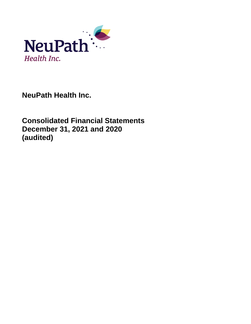

**NeuPath Health Inc.** 

**Consolidated Financial Statements December 31, 2021 and 2020 (audited)**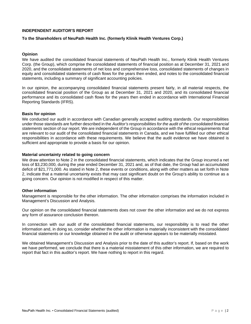# **INDEPENDENT AUDITOR'S REPORT**

# **To the Shareholders of NeuPath Health Inc. (formerly Klinik Health Ventures Corp.)**

# **Opinion**

We have audited the consolidated financial statements of NeuPath Health Inc., formerly Klinik Health Ventures Corp. (the Group), which comprise the consolidated statements of financial position as at December 31, 2021 and 2020, and the consolidated statements of net loss and comprehensive loss, consolidated statements of changes in equity and consolidated statements of cash flows for the years then ended, and notes to the consolidated financial statements, including a summary of significant accounting policies.

In our opinion, the accompanying consolidated financial statements present fairly, in all material respects, the consolidated financial position of the Group as at December 31, 2021 and 2020, and its consolidated financial performance and its consolidated cash flows for the years then ended in accordance with International Financial Reporting Standards (IFRS).

# **Basis for opinion**

We conducted our audit in accordance with Canadian generally accepted auditing standards. Our responsibilities under those standards are further described in the *Auditor's responsibilities for the audit of the consolidated financial statements* section of our report. We are independent of the Group in accordance with the ethical requirements that are relevant to our audit of the consolidated financial statements in Canada, and we have fulfilled our other ethical responsibilities in accordance with these requirements. We believe that the audit evidence we have obtained is sufficient and appropriate to provide a basis for our opinion.

# **Material uncertainty related to going concern**

We draw attention to Note 2 in the consolidated financial statements, which indicates that the Group incurred a net loss of \$3,230,000, during the year ended December 31, 2021 and, as of that date, the Group had an accumulated deficit of \$21,771,000. As stated in Note 2, these events or conditions, along with other matters as set forth in Note 2, indicate that a material uncertainty exists that may cast significant doubt on the Group's ability to continue as a going concern. Our opinion is not modified in respect of this matter.

# **Other information**

Management is responsible for the other information. The other information comprises the information included in Management's Discussion and Analysis.

Our opinion on the consolidated financial statements does not cover the other information and we do not express any form of assurance conclusion thereon.

In connection with our audit of the consolidated financial statements, our responsibility is to read the other information and, in doing so, consider whether the other information is materially inconsistent with the consolidated financial statements or our knowledge obtained in the audit or otherwise appears to be materially misstated.

We obtained Management's Discussion and Analysis prior to the date of this auditor's report. If, based on the work we have performed, we conclude that there is a material misstatement of this other information, we are required to report that fact in this auditor's report. We have nothing to report in this regard.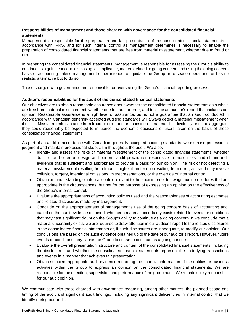# **Responsibilities of management and those charged with governance for the consolidated financial statements**

Management is responsible for the preparation and fair presentation of the consolidated financial statements in accordance with IFRS, and for such internal control as management determines is necessary to enable the preparation of consolidated financial statements that are free from material misstatement, whether due to fraud or error.

In preparing the consolidated financial statements, management is responsible for assessing the Group's ability to continue as a going concern, disclosing, as applicable, matters related to going concern and using the going concern basis of accounting unless management either intends to liquidate the Group or to cease operations, or has no realistic alternative but to do so.

Those charged with governance are responsible for overseeing the Group's financial reporting process.

# **Auditor's responsibilities for the audit of the consolidated financial statements**

Our objectives are to obtain reasonable assurance about whether the consolidated financial statements as a whole are free from material misstatement, whether due to fraud or error, and to issue an auditor's report that includes our opinion. Reasonable assurance is a high level of assurance, but is not a guarantee that an audit conducted in accordance with Canadian generally accepted auditing standards will always detect a material misstatement when it exists. Misstatements can arise from fraud or error and are considered material if, individually or in the aggregate, they could reasonably be expected to influence the economic decisions of users taken on the basis of these consolidated financial statements.

As part of an audit in accordance with Canadian generally accepted auditing standards, we exercise professional judgment and maintain professional skepticism throughout the audit. We also:

- Identify and assess the risks of material misstatement of the consolidated financial statements, whether due to fraud or error, design and perform audit procedures responsive to those risks, and obtain audit evidence that is sufficient and appropriate to provide a basis for our opinion. The risk of not detecting a material misstatement resulting from fraud is higher than for one resulting from error, as fraud may involve collusion, forgery, intentional omissions, misrepresentations, or the override of internal control.
- Obtain an understanding of internal control relevant to the audit in order to design audit procedures that are appropriate in the circumstances, but not for the purpose of expressing an opinion on the effectiveness of the Group's internal control.
- Evaluate the appropriateness of accounting policies used and the reasonableness of accounting estimates and related disclosures made by management.
- Conclude on the appropriateness of management's use of the going concern basis of accounting and, based on the audit evidence obtained, whether a material uncertainty exists related to events or conditions that may cast significant doubt on the Group's ability to continue as a going concern. If we conclude that a material uncertainty exists, we are required to draw attention in our auditor's report to the related disclosures in the consolidated financial statements or, if such disclosures are inadequate, to modify our opinion. Our conclusions are based on the audit evidence obtained up to the date of our auditor's report. However, future events or conditions may cause the Group to cease to continue as a going concern.
- Evaluate the overall presentation, structure and content of the consolidated financial statements, including the disclosures, and whether the consolidated financial statements represent the underlying transactions and events in a manner that achieves fair presentation.
- Obtain sufficient appropriate audit evidence regarding the financial information of the entities or business activities within the Group to express an opinion on the consolidated financial statements. We are responsible for the direction, supervision and performance of the group audit. We remain solely responsible for our audit opinion.

We communicate with those charged with governance regarding, among other matters, the planned scope and timing of the audit and significant audit findings, including any significant deficiencies in internal control that we identify during our audit.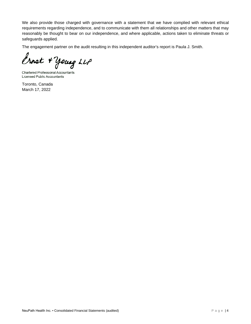We also provide those charged with governance with a statement that we have complied with relevant ethical requirements regarding independence, and to communicate with them all relationships and other matters that may reasonably be thought to bear on our independence, and where applicable, actions taken to eliminate threats or safeguards applied.

The engagement partner on the audit resulting in this independent auditor's report is Paula J. Smith.

Ernst + Young LLP

**Chartered Professional Accountants** Licensed Public Accountants

Toronto, Canada March 17, 2022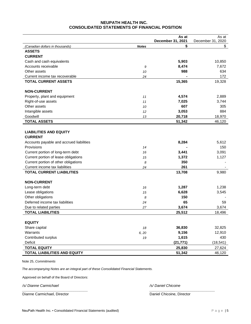# **NEUPATH HEALTH INC. CONSOLIDATED STATEMENTS OF FINANCIAL POSITION**

| \$<br>\$<br>(Canadian dollars in thousands)<br><b>Notes</b><br><b>ASSETS</b><br><b>CURRENT</b><br>Cash and cash equivalents<br>5,903<br>10,850<br>Accounts receivable<br>8,474<br>7,672<br>9<br>Other assets<br>988<br>634<br>10<br>172<br>Current income tax recoverable<br>24<br><b>TOTAL CURRENT ASSETS</b><br>15,365<br>19,328<br><b>NON-CURRENT</b><br>Property, plant and equipment<br>4,574<br>2,889<br>11<br>3,744<br>Right-of-use assets<br>7,025<br>11<br>Other assets<br>607<br>305<br>10<br>Intangible assets<br>3,053<br>884<br>12<br>Goodwill<br>20,718<br>18,970<br>13<br><b>TOTAL ASSETS</b><br>51,342<br>46,120<br><b>LIABILITIES AND EQUITY</b><br><b>CURRENT</b><br>8,284<br>5,612<br>Accounts payable and accrued liabilities<br>Provisions<br>150<br>14<br>Current portion of long-term debt<br>3,091<br>3,441<br>16<br>Current portion of lease obligations<br>1,127<br>1,372<br>15<br>Current portion of other obligations<br>350<br>8<br>Current income tax liabilities<br>261<br>24<br><b>TOTAL CURRENT LIABILITIES</b><br>13,708<br>9,980<br><b>NON-CURRENT</b><br>1,238<br>Long-term debt<br>1,287<br>16<br>Lease obligations<br>6,628<br>3,545<br>15<br>Other obligations<br>150<br>8<br>Deferred income tax liabilities<br>65<br>59<br>24<br>3,674<br>3,674<br>Due to related parties<br>27<br><b>TOTAL LIABILITIES</b><br>25,512<br>18,496<br><b>EQUITY</b><br>36,830<br>Share capital<br>32,825<br>18<br>Warrants<br>9,156<br>12,910<br>6,20<br>1,615<br>430<br>Contributed surplus<br>19<br>Deficit<br>(21, 771)<br>(18, 541)<br><b>TOTAL EQUITY</b><br>27,624<br>25,830 |                                     | As at             | As at             |
|----------------------------------------------------------------------------------------------------------------------------------------------------------------------------------------------------------------------------------------------------------------------------------------------------------------------------------------------------------------------------------------------------------------------------------------------------------------------------------------------------------------------------------------------------------------------------------------------------------------------------------------------------------------------------------------------------------------------------------------------------------------------------------------------------------------------------------------------------------------------------------------------------------------------------------------------------------------------------------------------------------------------------------------------------------------------------------------------------------------------------------------------------------------------------------------------------------------------------------------------------------------------------------------------------------------------------------------------------------------------------------------------------------------------------------------------------------------------------------------------------------------------------------------------------------------------------------------------------------|-------------------------------------|-------------------|-------------------|
|                                                                                                                                                                                                                                                                                                                                                                                                                                                                                                                                                                                                                                                                                                                                                                                                                                                                                                                                                                                                                                                                                                                                                                                                                                                                                                                                                                                                                                                                                                                                                                                                          |                                     | December 31, 2021 | December 31, 2020 |
|                                                                                                                                                                                                                                                                                                                                                                                                                                                                                                                                                                                                                                                                                                                                                                                                                                                                                                                                                                                                                                                                                                                                                                                                                                                                                                                                                                                                                                                                                                                                                                                                          |                                     |                   |                   |
|                                                                                                                                                                                                                                                                                                                                                                                                                                                                                                                                                                                                                                                                                                                                                                                                                                                                                                                                                                                                                                                                                                                                                                                                                                                                                                                                                                                                                                                                                                                                                                                                          |                                     |                   |                   |
|                                                                                                                                                                                                                                                                                                                                                                                                                                                                                                                                                                                                                                                                                                                                                                                                                                                                                                                                                                                                                                                                                                                                                                                                                                                                                                                                                                                                                                                                                                                                                                                                          |                                     |                   |                   |
|                                                                                                                                                                                                                                                                                                                                                                                                                                                                                                                                                                                                                                                                                                                                                                                                                                                                                                                                                                                                                                                                                                                                                                                                                                                                                                                                                                                                                                                                                                                                                                                                          |                                     |                   |                   |
|                                                                                                                                                                                                                                                                                                                                                                                                                                                                                                                                                                                                                                                                                                                                                                                                                                                                                                                                                                                                                                                                                                                                                                                                                                                                                                                                                                                                                                                                                                                                                                                                          |                                     |                   |                   |
|                                                                                                                                                                                                                                                                                                                                                                                                                                                                                                                                                                                                                                                                                                                                                                                                                                                                                                                                                                                                                                                                                                                                                                                                                                                                                                                                                                                                                                                                                                                                                                                                          |                                     |                   |                   |
|                                                                                                                                                                                                                                                                                                                                                                                                                                                                                                                                                                                                                                                                                                                                                                                                                                                                                                                                                                                                                                                                                                                                                                                                                                                                                                                                                                                                                                                                                                                                                                                                          |                                     |                   |                   |
|                                                                                                                                                                                                                                                                                                                                                                                                                                                                                                                                                                                                                                                                                                                                                                                                                                                                                                                                                                                                                                                                                                                                                                                                                                                                                                                                                                                                                                                                                                                                                                                                          |                                     |                   |                   |
|                                                                                                                                                                                                                                                                                                                                                                                                                                                                                                                                                                                                                                                                                                                                                                                                                                                                                                                                                                                                                                                                                                                                                                                                                                                                                                                                                                                                                                                                                                                                                                                                          |                                     |                   |                   |
|                                                                                                                                                                                                                                                                                                                                                                                                                                                                                                                                                                                                                                                                                                                                                                                                                                                                                                                                                                                                                                                                                                                                                                                                                                                                                                                                                                                                                                                                                                                                                                                                          |                                     |                   |                   |
|                                                                                                                                                                                                                                                                                                                                                                                                                                                                                                                                                                                                                                                                                                                                                                                                                                                                                                                                                                                                                                                                                                                                                                                                                                                                                                                                                                                                                                                                                                                                                                                                          |                                     |                   |                   |
|                                                                                                                                                                                                                                                                                                                                                                                                                                                                                                                                                                                                                                                                                                                                                                                                                                                                                                                                                                                                                                                                                                                                                                                                                                                                                                                                                                                                                                                                                                                                                                                                          |                                     |                   |                   |
|                                                                                                                                                                                                                                                                                                                                                                                                                                                                                                                                                                                                                                                                                                                                                                                                                                                                                                                                                                                                                                                                                                                                                                                                                                                                                                                                                                                                                                                                                                                                                                                                          |                                     |                   |                   |
|                                                                                                                                                                                                                                                                                                                                                                                                                                                                                                                                                                                                                                                                                                                                                                                                                                                                                                                                                                                                                                                                                                                                                                                                                                                                                                                                                                                                                                                                                                                                                                                                          |                                     |                   |                   |
|                                                                                                                                                                                                                                                                                                                                                                                                                                                                                                                                                                                                                                                                                                                                                                                                                                                                                                                                                                                                                                                                                                                                                                                                                                                                                                                                                                                                                                                                                                                                                                                                          |                                     |                   |                   |
|                                                                                                                                                                                                                                                                                                                                                                                                                                                                                                                                                                                                                                                                                                                                                                                                                                                                                                                                                                                                                                                                                                                                                                                                                                                                                                                                                                                                                                                                                                                                                                                                          |                                     |                   |                   |
|                                                                                                                                                                                                                                                                                                                                                                                                                                                                                                                                                                                                                                                                                                                                                                                                                                                                                                                                                                                                                                                                                                                                                                                                                                                                                                                                                                                                                                                                                                                                                                                                          |                                     |                   |                   |
|                                                                                                                                                                                                                                                                                                                                                                                                                                                                                                                                                                                                                                                                                                                                                                                                                                                                                                                                                                                                                                                                                                                                                                                                                                                                                                                                                                                                                                                                                                                                                                                                          |                                     |                   |                   |
|                                                                                                                                                                                                                                                                                                                                                                                                                                                                                                                                                                                                                                                                                                                                                                                                                                                                                                                                                                                                                                                                                                                                                                                                                                                                                                                                                                                                                                                                                                                                                                                                          |                                     |                   |                   |
|                                                                                                                                                                                                                                                                                                                                                                                                                                                                                                                                                                                                                                                                                                                                                                                                                                                                                                                                                                                                                                                                                                                                                                                                                                                                                                                                                                                                                                                                                                                                                                                                          |                                     |                   |                   |
|                                                                                                                                                                                                                                                                                                                                                                                                                                                                                                                                                                                                                                                                                                                                                                                                                                                                                                                                                                                                                                                                                                                                                                                                                                                                                                                                                                                                                                                                                                                                                                                                          |                                     |                   |                   |
|                                                                                                                                                                                                                                                                                                                                                                                                                                                                                                                                                                                                                                                                                                                                                                                                                                                                                                                                                                                                                                                                                                                                                                                                                                                                                                                                                                                                                                                                                                                                                                                                          |                                     |                   |                   |
|                                                                                                                                                                                                                                                                                                                                                                                                                                                                                                                                                                                                                                                                                                                                                                                                                                                                                                                                                                                                                                                                                                                                                                                                                                                                                                                                                                                                                                                                                                                                                                                                          |                                     |                   |                   |
|                                                                                                                                                                                                                                                                                                                                                                                                                                                                                                                                                                                                                                                                                                                                                                                                                                                                                                                                                                                                                                                                                                                                                                                                                                                                                                                                                                                                                                                                                                                                                                                                          |                                     |                   |                   |
|                                                                                                                                                                                                                                                                                                                                                                                                                                                                                                                                                                                                                                                                                                                                                                                                                                                                                                                                                                                                                                                                                                                                                                                                                                                                                                                                                                                                                                                                                                                                                                                                          |                                     |                   |                   |
|                                                                                                                                                                                                                                                                                                                                                                                                                                                                                                                                                                                                                                                                                                                                                                                                                                                                                                                                                                                                                                                                                                                                                                                                                                                                                                                                                                                                                                                                                                                                                                                                          |                                     |                   |                   |
|                                                                                                                                                                                                                                                                                                                                                                                                                                                                                                                                                                                                                                                                                                                                                                                                                                                                                                                                                                                                                                                                                                                                                                                                                                                                                                                                                                                                                                                                                                                                                                                                          |                                     |                   |                   |
|                                                                                                                                                                                                                                                                                                                                                                                                                                                                                                                                                                                                                                                                                                                                                                                                                                                                                                                                                                                                                                                                                                                                                                                                                                                                                                                                                                                                                                                                                                                                                                                                          |                                     |                   |                   |
|                                                                                                                                                                                                                                                                                                                                                                                                                                                                                                                                                                                                                                                                                                                                                                                                                                                                                                                                                                                                                                                                                                                                                                                                                                                                                                                                                                                                                                                                                                                                                                                                          |                                     |                   |                   |
|                                                                                                                                                                                                                                                                                                                                                                                                                                                                                                                                                                                                                                                                                                                                                                                                                                                                                                                                                                                                                                                                                                                                                                                                                                                                                                                                                                                                                                                                                                                                                                                                          |                                     |                   |                   |
|                                                                                                                                                                                                                                                                                                                                                                                                                                                                                                                                                                                                                                                                                                                                                                                                                                                                                                                                                                                                                                                                                                                                                                                                                                                                                                                                                                                                                                                                                                                                                                                                          |                                     |                   |                   |
|                                                                                                                                                                                                                                                                                                                                                                                                                                                                                                                                                                                                                                                                                                                                                                                                                                                                                                                                                                                                                                                                                                                                                                                                                                                                                                                                                                                                                                                                                                                                                                                                          |                                     |                   |                   |
|                                                                                                                                                                                                                                                                                                                                                                                                                                                                                                                                                                                                                                                                                                                                                                                                                                                                                                                                                                                                                                                                                                                                                                                                                                                                                                                                                                                                                                                                                                                                                                                                          |                                     |                   |                   |
|                                                                                                                                                                                                                                                                                                                                                                                                                                                                                                                                                                                                                                                                                                                                                                                                                                                                                                                                                                                                                                                                                                                                                                                                                                                                                                                                                                                                                                                                                                                                                                                                          |                                     |                   |                   |
|                                                                                                                                                                                                                                                                                                                                                                                                                                                                                                                                                                                                                                                                                                                                                                                                                                                                                                                                                                                                                                                                                                                                                                                                                                                                                                                                                                                                                                                                                                                                                                                                          |                                     |                   |                   |
|                                                                                                                                                                                                                                                                                                                                                                                                                                                                                                                                                                                                                                                                                                                                                                                                                                                                                                                                                                                                                                                                                                                                                                                                                                                                                                                                                                                                                                                                                                                                                                                                          |                                     |                   |                   |
|                                                                                                                                                                                                                                                                                                                                                                                                                                                                                                                                                                                                                                                                                                                                                                                                                                                                                                                                                                                                                                                                                                                                                                                                                                                                                                                                                                                                                                                                                                                                                                                                          |                                     |                   |                   |
|                                                                                                                                                                                                                                                                                                                                                                                                                                                                                                                                                                                                                                                                                                                                                                                                                                                                                                                                                                                                                                                                                                                                                                                                                                                                                                                                                                                                                                                                                                                                                                                                          |                                     |                   |                   |
|                                                                                                                                                                                                                                                                                                                                                                                                                                                                                                                                                                                                                                                                                                                                                                                                                                                                                                                                                                                                                                                                                                                                                                                                                                                                                                                                                                                                                                                                                                                                                                                                          |                                     |                   |                   |
|                                                                                                                                                                                                                                                                                                                                                                                                                                                                                                                                                                                                                                                                                                                                                                                                                                                                                                                                                                                                                                                                                                                                                                                                                                                                                                                                                                                                                                                                                                                                                                                                          |                                     |                   |                   |
|                                                                                                                                                                                                                                                                                                                                                                                                                                                                                                                                                                                                                                                                                                                                                                                                                                                                                                                                                                                                                                                                                                                                                                                                                                                                                                                                                                                                                                                                                                                                                                                                          |                                     |                   |                   |
|                                                                                                                                                                                                                                                                                                                                                                                                                                                                                                                                                                                                                                                                                                                                                                                                                                                                                                                                                                                                                                                                                                                                                                                                                                                                                                                                                                                                                                                                                                                                                                                                          | <b>TOTAL LIABILITIES AND EQUITY</b> | 51,342            | 46,120            |

Note [25,](#page-34-0) *Commitments*

*The accompanying Notes are an integral part of these Consolidated Financial Statements.*

Approved on behalf of the Board of Directors:

*/s/ Dianne Carmichael*

*\_\_\_\_\_\_\_\_\_\_\_\_\_\_\_\_\_\_\_\_\_\_\_\_\_\_\_\_\_\_\_\_* Dianne Carmichael, Director

*/s/ Daniel Chicoine*

Daniel Chicoine, Director

*\_\_\_\_\_\_\_\_\_\_\_\_\_\_\_\_\_\_\_\_\_\_\_\_\_\_\_\_\_\_\_\_*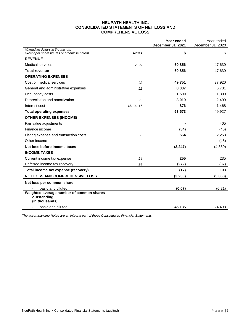# **NEUPATH HEALTH INC. CONSOLIDATED STATEMENTS OF NET LOSS AND COMPREHENSIVE LOSS**

|                                                                |              | Year ended<br>December 31, 2021 | Year ended<br>December 31, 2020 |
|----------------------------------------------------------------|--------------|---------------------------------|---------------------------------|
| (Canadian dollars in thousands,                                | <b>Notes</b> | \$                              | \$                              |
| except per share figures or otherwise noted)<br><b>REVENUE</b> |              |                                 |                                 |
| <b>Medical services</b>                                        | 7, 29        | 60,856                          | 47,639                          |
| <b>Total revenue</b>                                           |              | 60,856                          | 47,639                          |
| <b>OPERATING EXPENSES</b>                                      |              |                                 |                                 |
|                                                                |              |                                 |                                 |
| Cost of medical services                                       | 22           | 49,751                          | 37,920                          |
| General and administrative expenses                            | 22           | 8,337                           | 6,731                           |
| Occupancy costs                                                |              | 1,590                           | 1,309                           |
| Depreciation and amortization                                  | 22           | 3,019                           | 2,499                           |
| Interest cost                                                  | 15, 16, 17   | 876                             | 1,468                           |
| <b>Total operating expenses</b>                                |              | 63,573                          | 49,927                          |
| <b>OTHER EXPENSES (INCOME)</b>                                 |              |                                 |                                 |
| Fair value adjustments                                         |              |                                 | 405                             |
| Finance income                                                 |              | (34)                            | (46)                            |
| Listing expense and transaction costs                          | 6            | 564                             | 2,258                           |
| Other income                                                   |              |                                 | (45)                            |
| Net loss before income taxes                                   |              | (3, 247)                        | (4,860)                         |
| <b>INCOME TAXES</b>                                            |              |                                 |                                 |
| Current income tax expense                                     | 24           | 255                             | 235                             |
| Deferred income tax recovery                                   | 24           | (272)                           | (37)                            |
| Total income tax expense (recovery)                            |              | (17)                            | 198                             |
| <b>NET LOSS AND COMPREHENSIVE LOSS</b>                         |              | (3, 230)                        | (5,058)                         |
| Net loss per common share                                      |              |                                 |                                 |
| basic and diluted                                              |              | (0.07)                          | (0.21)                          |
| Weighted average number of common shares                       |              |                                 |                                 |
| outstanding<br>(in thousands)                                  |              |                                 |                                 |
| basic and diluted                                              |              | 45,135                          | 24,498                          |
|                                                                |              |                                 |                                 |

*The accompanying Notes are an integral part of these Consolidated Financial Statements.*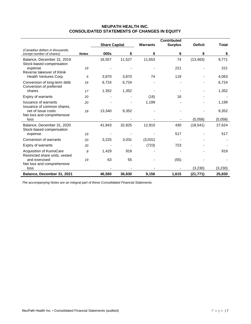|                                                             |              | <b>Share Capital</b> |        | <b>Warrants</b> | <b>Contributed</b><br><b>Surplus</b> | <b>Deficit</b> | <b>Total</b> |
|-------------------------------------------------------------|--------------|----------------------|--------|-----------------|--------------------------------------|----------------|--------------|
| (Canadian dollars in thousands,<br>except number of shares) | <b>Notes</b> | 000s                 | \$     | \$              | \$                                   | \$             | \$           |
| Balance, December 31, 2019<br>Stock-based compensation      |              | 16,557               | 11,527 | 11,653          | 74                                   | (13, 483)      | 9,771        |
| expense<br>Reverse takeover of Klinik                       | 19           |                      |        |                 | 221                                  |                | 221          |
| Health Ventures Corp.                                       | 6            | 3,870                | 3,870  | 74              | 119                                  |                | 4,063        |
| Conversion of long-term debt<br>Conversion of preferred     | 16           | 6,724                | 6,724  |                 |                                      |                | 6,724        |
| shares                                                      | 17           | 1,352                | 1,352  |                 |                                      |                | 1,352        |
| Expiry of warrants                                          | 20           |                      |        | (16)            | 16                                   |                |              |
| <b>Issuance of warrants</b><br>Issuance of common shares,   | 20           |                      |        | 1,199           |                                      |                | 1,199        |
| net of issue costs<br>Net loss and comprehensive            | 18           | 13,340               | 9,352  |                 |                                      |                | 9,352        |
| loss                                                        |              |                      |        |                 |                                      | (5,058)        | (5,058)      |
| Balance, December 31, 2020<br>Stock-based compensation      |              | 41,843               | 32,825 | 12,910          | 430                                  | (18, 541)      | 27,624       |
| expense                                                     | 19           |                      |        |                 | 517                                  |                | 517          |
| Conversion of warrants                                      | 20           | 3,225                | 3,031  | (3,031)         |                                      |                |              |
| Expiry of warrants                                          | 20           |                      |        | (723)           | 723                                  |                |              |
| Acquisition of KumoCare<br>Restricted share units, vested   | 8            | 1,429                | 919    |                 |                                      |                | 919          |
| and exercised<br>Net loss and comprehensive                 | 19           | 63                   | 55     |                 | (55)                                 |                |              |
| loss                                                        |              |                      |        |                 |                                      | (3,230)        | (3,230)      |
| Balance, December 31, 2021                                  |              | 46,560               | 36,830 | 9,156           | 1,615                                | (21, 771)      | 25,830       |

# **NEUPATH HEALTH INC. CONSOLIDATED STATEMENTS OF CHANGES IN EQUITY**

*The accompanying Notes are an integral part of these Consolidated Financial Statements.*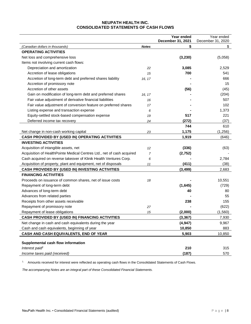# **NEUPATH HEALTH INC. CONSOLIDATED STATEMENTS OF CASH FLOWS**

|                                                                        |                | Year ended        | Year ended        |
|------------------------------------------------------------------------|----------------|-------------------|-------------------|
|                                                                        |                | December 31, 2021 | December 31, 2020 |
| (Canadian dollars in thousands)                                        | <b>Notes</b>   | \$                | \$                |
| <b>OPERATING ACTIVITIES</b>                                            |                |                   |                   |
| Net loss and comprehensive loss                                        |                | (3, 230)          | (5,058)           |
| Items not involving current cash flows:                                |                |                   |                   |
| Depreciation and amortization                                          | 22             | 3,085             | 2,529             |
| Accretion of lease obligations                                         | 15             | 700               | 541               |
| Accretion of long-term debt and preferred shares liability             | 16, 17         |                   | 666               |
| Accretion of promissory note                                           |                |                   | 15                |
| Accretion of other assets                                              |                | (56)              | (45)              |
| Gain on modification of long-term debt and preferred shares            | 16, 17         |                   | (204)             |
| Fair value adjustment of derivative financial liabilities              | 16             |                   | 507               |
| Fair value adjustment of conversion feature on preferred shares        | 17             |                   | 102               |
| Listing expense and transaction expense                                | 6              |                   | 1,373             |
| Equity-settled stock-based compensation expense                        | 19             | 517               | 221               |
| Deferred income tax recovery                                           | 24             | (272)             | (37)              |
|                                                                        |                | 744               | 610               |
| Net change in non-cash working capital                                 | 23             | 1,175             | (1, 256)          |
| CASH PROVIDED BY (USED IN) OPERATING ACTIVITIES                        |                | 1,919             | (646)             |
| <b>INVESTING ACTIVITIES</b>                                            |                |                   |                   |
| Acquisition of intangible assets, net                                  | 12             | (336)             | (63)              |
| Acquisition of HealthPointe Medical Centres Ltd., net of cash acquired | $\overline{7}$ | (2,752)           |                   |
| Cash acquired on reverse takeover of Klinik Health Ventures Corp.      | 6              |                   | 2,784             |
| Acquisition of property, plant and equipment, net of disposals         | 11             | (411)             | (38)              |
| CASH PROVIDED BY (USED IN) INVESTING ACTIVITIES                        |                | (3, 499)          | 2,683             |
| <b>FINANCING ACTIVITIES</b>                                            |                |                   |                   |
| Proceeds on issuance of common shares, net of issue costs              | 18             |                   | 10,551            |
| Repayment of long-term debt                                            |                | (1,645)           | (729)             |
| Advances of long-term debt                                             |                | 40                | 80                |
| Advances from related parties                                          |                |                   | 55                |
| Receipts from other assets receivable                                  |                | 238               | 155               |
| Repayment of promissory note                                           | 27             |                   | (622)             |
| Repayment of lease obligations                                         | 15             | (2,000)           | (1, 560)          |
| <b>CASH PROVIDED BY (USED IN) FINANCING ACTIVITIES</b>                 |                | (3, 367)          | 7,930             |
| Net change in cash and cash equivalents during the year                |                | (4, 947)          | 9,967             |
| Cash and cash equivalents, beginning of year                           |                | 10,850            | 883               |
| CASH AND CASH EQUIVALENTS, END OF YEAR                                 |                | 5,903             | 10,850            |
|                                                                        |                |                   |                   |
| Supplemental cash flow information                                     |                |                   |                   |
| Interest paid <sup>1</sup>                                             |                | 210               | 315               |
| Income taxes paid (received)                                           |                | (187)             | 570               |

<sup>1.</sup> Amounts received for interest were reflected as operating cash flows in the Consolidated Statements of Cash Flows.

*The accompanying Notes are an integral part of these Consolidated Financial Statements.*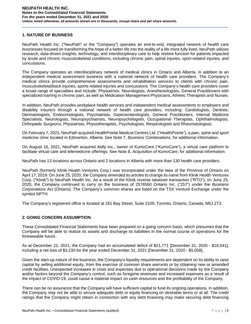# **1. NATURE OF BUSINESS**

NeuPath Health Inc. ("NeuPath" or the "Company") operates an end-to-end, integrated network of health care businesses focused on transforming the hope of a better life into the reality of a life more fully lived. NeuPath utilizes research, data-driven insights, technology, and interdisciplinary care to help restore function for patients impacted by acute and chronic musculoskeletal conditions, including chronic pain, spinal injuries, sport-related injuries, and concussions.

The Company operates an interdisciplinary network of medical clinics in Ontario and Alberta, in addition to an independent medical assessment business with a national network of health care providers. The Company's medical clinics provide comprehensive assessments and rehabilitation services to clients with chronic pain, musculoskeletal/back injuries, sports related injuries and concussions. The Company's health care providers cover a broad range of specialties and include: Physiatrists, Neurologists, Anesthesiologists, General Practitioners with specialized training in chronic pain, as well as Medication Management Physicians, Athletic Therapists and Nurses.

In addition, NeuPath provides workplace health services and independent medical assessments to employers and disability insurers through a national network of health care providers, including: Cardiologists, Dentists, Dermatologists, Endocrinologists, Psychiatrists, Gastroenterologists, General Practitioners, Internal Medicine Specialists, Neurologists, Neuropsychiatrists, Neuropsychologists, Occupational Therapists, Ophthalmologists, Orthopedic Surgeons, Physiatrists, Physiotherapists, Psychologists, Respirologists and Rheumatologists.

On February 7, 2021, NeuPath acquired HealthPointe Medical Centres Ltd. ("HealthPointe"), a pain, spine and sport medicine clinic located in Edmonton, Alberta. See Note [7,](#page-20-0) *Business Combinations*, for additional information.

On August 16, 2021, NeuPath acquired Aidly Inc., owner of KumoCare ("KumoCare"), a virtual care platform to facilitate virtual care and telemedicine offerings. See Note [8,](#page-21-0) *Acquisition of KumoCare*, for additional information.

NeuPath has 13 locations across Ontario and 2 locations in Alberta with more than 130 health care providers.

NeuPath (formerly Klinik Health Ventures Corp.) was incorporated under the laws of the Province of Ontario on April 17, 2019. On June 25, 2020, the Company amended its articles to change its name from Klinik Health Ventures Corp. ("Klinik") to NeuPath Health Inc. As a result of the Klinik reverse takeover transaction ("RTO"), on June 25, 2020, the Company continued to carry on the business of 2576560 Ontario Inc. ("257") under the *Business Corporations Act* (Ontario). The Company's common shares are listed on the TSX Venture Exchange under the symbol NPTH.

The Company's registered office is located at 181 Bay Street, Suite 2100, Toronto, Ontario, Canada, M5J 2T3.

# <span id="page-8-0"></span>**2. GOING CONCERN ASSUMPTION**

These Consolidated Financial Statements have been prepared on a going concern basis, which presumes that the Company will be able to realize its assets and discharge its liabilities in the normal course of operations for the foreseeable future.

As at December 31, 2021, the Company had an accumulated deficit of \$21,771 [December 31, 2020 - \$18,541], including a net loss of \$3,230 for the year ended December 31, 2021 [December 31, 2020 - \$5,058].

Given the start-up nature of the business, the Company's liquidity requirements are dependent on its ability to raise capital by selling additional equity, from the exercise of common share warrants or by obtaining new or amended credit facilities. Unexpected increases in costs and expenses due to operational decisions made by the Company and/or factors beyond the Company's control, such as foregone revenues and increased expenses as a result of the impact of COVID-19, could cause a material impact on cash resources and the profitability of the Company.

There can be no assurance that the Company will have sufficient capital to fund its ongoing operations. In addition, the Company may not be able to secure adequate debt or equity financing on desirable terms or at all. The credit ratings that the Company might obtain in connection with any debt financing may make securing debt financing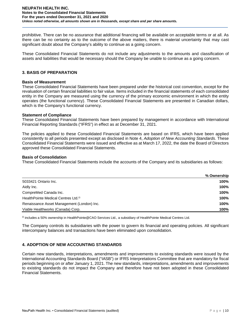prohibitive. There can be no assurance that additional financing will be available on acceptable terms or at all. As there can be no certainty as to the outcome of the above matters, there is material uncertainty that may cast significant doubt about the Company's ability to continue as a going concern.

These Consolidated Financial Statements do not include any adjustments to the amounts and classification of assets and liabilities that would be necessary should the Company be unable to continue as a going concern.

# **3. BASIS OF PREPARATION**

## **Basis of Measurement**

These Consolidated Financial Statements have been prepared under the historical cost convention, except for the revaluation of certain financial liabilities to fair value. Items included in the financial statements of each consolidated entity in the Company are measured using the currency of the primary economic environment in which the entity operates (the functional currency). These Consolidated Financial Statements are presented in Canadian dollars, which is the Company's functional currency.

## **Statement of Compliance**

These Consolidated Financial Statements have been prepared by management in accordance with International Financial Reporting Standards ("IFRS") in effect as at December 31, 2021.

The policies applied to these Consolidated Financial Statements are based on IFRS, which have been applied consistently to all periods presented except as disclosed in Note [4,](#page-9-0) *Adoption of New Accounting Standards*. These Consolidated Financial Statements were issued and effective as at March 17, 2022, the date the Board of Directors approved these Consolidated Financial Statements.

## **Basis of Consolidation**

These Consolidated Financial Statements include the accounts of the Company and its subsidiaries as follows:

|                                                  | % Ownership |
|--------------------------------------------------|-------------|
| 5033421 Ontario Inc.                             | 100%        |
| Aidly Inc.                                       | 100%        |
| CompreMed Canada Inc.                            | 100%        |
| HealthPointe Medical Centres Ltd. <sup>(i)</sup> | 100%        |
| Renaissance Asset Management (London) Inc.       | 100%        |
| Viable Healthworks (Canada) Corp.                | 100%        |

 $(0)$  includes a 50% ownership in HealthPointe@CAO Services Ltd., a subsidiary of HealthPointe Medical Centres Ltd.

The Company controls its subsidiaries with the power to govern its financial and operating policies. All significant intercompany balances and transactions have been eliminated upon consolidation.

# <span id="page-9-0"></span>**4. ADOPTION OF NEW ACCOUNTING STANDARDS**

Certain new standards, interpretations, amendments and improvements to existing standards were issued by the International Accounting Standards Board ("IASB") or IFRS Interpretations Committee that are mandatory for fiscal periods beginning on or after January 1, 2021. The new standards, interpretations, amendments and improvements to existing standards do not impact the Company and therefore have not been adopted in these Consolidated Financial Statements.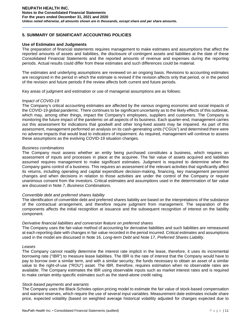# **5. SUMMARY OF SIGNIFICANT ACCOUNTING POLICIES**

# **Use of Estimates and Judgments**

The preparation of financial statements requires management to make estimates and assumptions that affect the reported amounts of assets and liabilities, the disclosure of contingent assets and liabilities at the date of these Consolidated Financial Statements and the reported amounts of revenue and expenses during the reporting periods. Actual results could differ from these estimates and such differences could be material.

The estimates and underlying assumptions are reviewed on an ongoing basis. Revisions to accounting estimates are recognized in the period in which the estimate is revised if the revision affects only that period, or in the period of the revision and future periods if the review affects both current and future periods.

Key areas of judgment and estimation or use of managerial assumptions are as follows:

## *Impact of COVID-19*

The Company's critical accounting estimates are affected by the various ongoing economic and social impacts of the COVID-19 global pandemic. There continues to be significant uncertainty as to the likely effects of this outbreak, which may, among other things, impact the Company's employees, suppliers and customers. The Company is monitoring the future impact of the pandemic on all aspects of its business. Each quarter-end, management carries out this assessment for indications that goodwill and other long-lived assets may be impaired. As part of this assessment, management performed an analysis on its cash-generating units ("CGUs") and determined there were no adverse impacts that would lead to indicators of impairment. As required, management will continue to assess these assumptions as the evolving COVID-19 situation changes.

## *Business combinations*

The Company must assess whether an entity being purchased constitutes a business, which requires an assessment of inputs and processes in place at the acquiree. The fair value of assets acquired and liabilities assumed requires management to make significant estimates. Judgment is required to determine when the Company gains control of a business. This requires an assessment of the relevant activities that significantly affect its returns, including operating and capital expenditure decision-making, financing, key management personnel changes and when decisions in relation to those activities are under the control of the Company or require unanimous consent from the investors. Critical estimates and assumptions used in the determination of fair value are discussed in Note [7,](#page-20-0) *Business Combinations*.

# *Convertible debt and preferred shares liability*

The identification of convertible debt and preferred shares liability are based on the interpretations of the substance of the contractual arrangement, and therefore require judgment from management. The separation of the components affects the initial recognition at issuance and the subsequent recognition of interest on the liability component.

# *Derivative financial liabilities and conversion feature on preferred shares*

The Company uses the fair-value method of accounting for derivative liabilities and such liabilities are remeasured at each reporting date with changes in fair value recorded in the period incurred. Critical estimates and assumptions used in the model are discussed in Note [16](#page-26-0)*, Long-term Debt* and Note [17,](#page-27-0) *Preferred Shares Liability*.

### *Leases*

The Company cannot readily determine the interest rate implicit in the lease, therefore, it uses its incremental borrowing rate ("IBR") to measure lease liabilities. The IBR is the rate of interest that the Company would have to pay to borrow over a similar term, and with a similar security, the funds necessary to obtain an asset of a similar value to the right-of-use ("ROU") asset. The IBR, therefore, requires estimation when no observable rates are available. The Company estimates the IBR using observable inputs such as market interest rates and is required to make certain entity-specific estimates such as the stand-alone credit rating.

### *Stock-based payments and warrants*

The Company uses the Black-Scholes option pricing model to estimate the fair value of stock-based compensation and warrant reserves, which require the use of several input variables. Measurement date estimates include share price, expected volatility (based on weighted average historical volatility adjusted for changes expected due to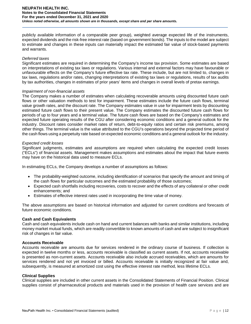publicly available information of a comparable peer group), weighted average expected life of the instruments, expected dividends and the risk-free interest rate (based on government bonds). The inputs to the model are subject to estimate and changes in these inputs can materially impact the estimated fair value of stock-based payments and warrants.

# *Deferred taxes*

Significant estimates are required in determining the Company's income tax provision. Some estimates are based on interpretations of existing tax laws or regulations. Various internal and external factors may have favourable or unfavourable effects on the Company's future effective tax rate. These include, but are not limited to, changes in tax laws, regulations and/or rates, changing interpretations of existing tax laws or regulations, results of tax audits by tax authorities, changes in estimates of prior years' items and changes in overall levels of pretax earnings.

# *Impairment of non-financial assets*

The Company makes a number of estimates when calculating recoverable amounts using discounted future cash flows or other valuation methods to test for impairment. These estimates include the future cash flows, terminal value growth rates, and the discount rate. The Company estimates value in use for impairment tests by discounting estimated future cash flows to their present value. The Company estimates the discounted future cash flows for periods of up to four years and a terminal value. The future cash flows are based on the Company's estimates and expected future operating results of the CGU after considering economic conditions and a general outlook for the industry. Discount rates consider market rates of return, debt-to-equity ratios and certain risk premiums, among other things. The terminal value is the value attributed to the CGU's operations beyond the projected time period of the cash flows using a perpetuity rate based on expected economic conditions and a general outlook for the industry.

# *Expected credit losses*

Significant judgments, estimates and assumptions are required when calculating the expected credit losses ("ECLs") of financial assets. Management makes assumptions and estimates about the impact that future events may have on the historical data used to measure ECLs.

In estimating ECLs, the Company develops a number of assumptions as follows:

- The probability-weighted outcome, including identification of scenarios that specify the amount and timing of the cash flows for particular outcomes and the estimated probability of those outcomes;
- Expected cash shortfalls including recoveries, costs to recover and the effects of any collateral or other credit enhancements; and
- Estimates of effective interest rates used in incorporating the time value of money.

The above assumptions are based on historical information and adjusted for current conditions and forecasts of future economic conditions.

# **Cash and Cash Equivalents**

Cash and cash equivalents include cash on hand and current balances with banks and similar institutions, including money market mutual funds, which are readily convertible to known amounts of cash and are subject to insignificant risk of changes in fair value.

### **Accounts Receivable**

Accounts receivable are amounts due for services rendered in the ordinary course of business. If collection is expected in twelve months or less, accounts receivable is classified as current assets. If not, accounts receivable is presented as non-current assets. Accounts receivable also include accrued receivables, which are amounts for services rendered and not yet invoiced or billed. Accounts receivable is initially recognized at fair value and, subsequently, is measured at amortized cost using the effective interest rate method, less lifetime ECLs.

# **Clinical Supplies**

Clinical supplies are included in other current assets in the Consolidated Statements of Financial Position. Clinical supplies consist of pharmaceutical products and materials used in the provision of health care services and are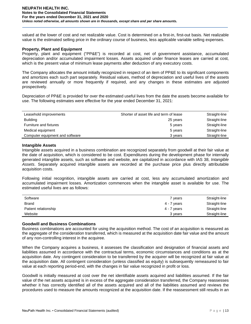valued at the lower of cost and net realizable value. Cost is determined on a first-in, first-out basis. Net realizable value is the estimated selling price in the ordinary course of business, less applicable variable selling expenses.

### **Property, Plant and Equipment**

Property, plant and equipment ("PP&E") is recorded at cost, net of government assistance, accumulated depreciation and/or accumulated impairment losses. Assets acquired under finance leases are carried at cost, which is the present value of minimum lease payments after deduction of any executory costs.

The Company allocates the amount initially recognized in respect of an item of PP&E to its significant components and amortizes each such part separately. Residual values, method of depreciation and useful lives of the assets are reviewed annually or more frequently if required, and any changes in these estimates are adjusted prospectively.

Depreciation of PP&E is provided for over the estimated useful lives from the date the assets become available for use. The following estimates were effective for the year ended December 31, 2021:

| Leasehold improvements          | Shorter of asset life and term of lease | Straight-line |
|---------------------------------|-----------------------------------------|---------------|
| <b>Building</b>                 | 25 years                                | Straight-line |
| Furniture and fixtures          | 5 years                                 | Straight-line |
| Medical equipment               | 5 years                                 | Straight-line |
| Computer equipment and software | 3 years                                 | Straight-line |

### **Intangible Assets**

Intangible assets acquired in a business combination are recognized separately from goodwill at their fair value at the date of acquisition, which is considered to be cost. Expenditures during the development phase for internally generated intangible assets, such as software and website, are capitalized in accordance with IAS 38, *Intangible Assets*. Separately acquired intangible assets are recorded at the purchase price plus directly attributable acquisition costs.

Following initial recognition, intangible assets are carried at cost, less any accumulated amortization and accumulated impairment losses. Amortization commences when the intangible asset is available for use. The estimated useful lives are as follows:

| Software             | 7 years     | Straight-line |
|----------------------|-------------|---------------|
| <b>Brand</b>         | 4 - 7 years | Straight-line |
| Patient relationship | 4 - 7 years | Straight-line |
| Website              | 3 years     | Straight-line |
|                      |             |               |

# **Goodwill and Business Combinations**

Business combinations are accounted for using the acquisition method. The cost of an acquisition is measured as the aggregate of the consideration transferred, which is measured at the acquisition date fair value and the amount of any non-controlling interest in the acquiree.

When the Company acquires a business, it assesses the classification and designation of financial assets and liabilities assumed in accordance with the contractual terms, economic circumstances and conditions as at the acquisition date. Any contingent consideration to be transferred by the acquirer will be recognized at fair value at the acquisition date. All contingent consideration (unless classified as equity) is subsequently remeasured to fair value at each reporting period-end, with the changes in fair value recognized in profit or loss.

Goodwill is initially measured at cost over the net identifiable assets acquired and liabilities assumed. If the fair value of the net assets acquired is in excess of the aggregate consideration transferred, the Company reassesses whether it has correctly identified all of the assets acquired and all of the liabilities assumed and reviews the procedures used to measure the amounts recognized at the acquisition date. If the reassessment still results in an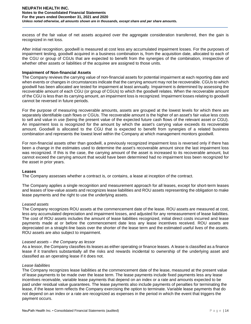excess of the fair value of net assets acquired over the aggregate consideration transferred, then the gain is recognized in net loss.

After initial recognition, goodwill is measured at cost less any accumulated impairment losses. For the purposes of impairment testing, goodwill acquired in a business combination is, from the acquisition date, allocated to each of the CGU or group of CGUs that are expected to benefit from the synergies of the combination, irrespective of whether other assets or liabilities of the acquiree are assigned to those units.

# **Impairment of Non-financial Assets**

The Company reviews the carrying value of non-financial assets for potential impairment at each reporting date and when events or changes in circumstances indicate that the carrying amount may not be recoverable. CGUs to which goodwill has been allocated are tested for impairment at least annually. Impairment is determined by assessing the recoverable amount of each CGU (or group of CGUs) to which the goodwill relates. When the recoverable amount of the CGU is less than its carrying amount, an impairment loss is recognized. Impairment losses relating to goodwill cannot be reversed in future periods.

For the purpose of measuring recoverable amounts, assets are grouped at the lowest levels for which there are separately identifiable cash flows or CGUs. The recoverable amount is the higher of an asset's fair value less costs to sell and value in use (being the present value of the expected future cash flows of the relevant asset or CGU). An impairment loss is recognized for the amount by which the asset's carrying value exceeds its recoverable amount. Goodwill is allocated to the CGU that is expected to benefit from synergies of a related business combination and represents the lowest level within the Company at which management monitors goodwill.

For non-financial assets other than goodwill, a previously recognized impairment loss is reversed only if there has been a change in the estimates used to determine the asset's recoverable amount since the last impairment loss was recognized. If this is the case, the carrying amount of the asset is increased to its recoverable amount, but cannot exceed the carrying amount that would have been determined had no impairment loss been recognized for the asset in prior years.

### **Leases**

The Company assesses whether a contract is, or contains, a lease at inception of the contract.

The Company applies a single recognition and measurement approach for all leases, except for short-term leases and leases of low-value assets and recognizes lease liabilities and ROU assets representing the obligation to make lease payments and the right to use the underlying assets.

### *Leased assets*

The Company recognizes ROU assets at the commencement date of the lease. ROU assets are measured at cost, less any accumulated depreciation and impairment losses, and adjusted for any remeasurement of lease liabilities. The cost of ROU assets includes the amount of lease liabilities recognized, initial direct costs incurred and lease payments made at or before the commencement date less any lease incentives received. ROU assets are depreciated on a straight-line basis over the shorter of the lease term and the estimated useful lives of the assets. ROU assets are also subject to impairment.

### *Leased assets – the Company as lessor*

As a lessor, the Company classifies its leases as either operating or finance leases. A lease is classified as a finance lease if it transfers substantially all the risks and rewards incidental to ownership of the underlying asset and classified as an operating lease if it does not.

### *Lease liabilities*

The Company recognizes lease liabilities at the commencement date of the lease, measured at the present value of lease payments to be made over the lease term. The lease payments include fixed payments less any lease incentives receivable, variable lease payments that depend on an index or a rate and amounts expected to be paid under residual value guarantees. The lease payments also include payments of penalties for terminating the lease, if the lease term reflects the Company exercising the option to terminate. Variable lease payments that do not depend on an index or a rate are recognized as expenses in the period in which the event that triggers the payment occurs.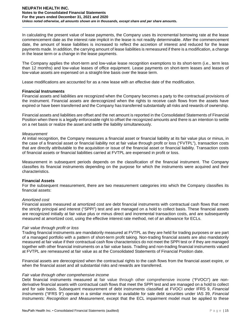In calculating the present value of lease payments, the Company uses its incremental borrowing rate at the lease commencement date as the interest rate implicit in the lease is not readily determinable. After the commencement date, the amount of lease liabilities is increased to reflect the accretion of interest and reduced for the lease payments made. In addition, the carrying amount of lease liabilities is remeasured if there is a modification, a change in the lease term or a change in the lease payments.

The Company applies the short-term and low-value lease recognition exemptions to its short-term (i.e., term less than 12 months) and low-value leases of office equipment. Lease payments on short-term leases and leases of low-value assets are expensed on a straight-line basis over the lease term.

Lease modifications are accounted for as a new lease with an effective date of the modification.

# **Financial Instruments**

Financial assets and liabilities are recognized when the Company becomes a party to the contractual provisions of the instrument. Financial assets are derecognized when the rights to receive cash flows from the assets have expired or have been transferred and the Company has transferred substantially all risks and rewards of ownership.

Financial assets and liabilities are offset and the net amount is reported in the Consolidated Statements of Financial Position when there is a legally enforceable right to offset the recognized amounts and there is an intention to settle on a net basis or realize the asset and settle the liability simultaneously.

# *Measurement*

At initial recognition, the Company measures a financial asset or financial liability at its fair value plus or minus, in the case of a financial asset or financial liability not at fair value through profit or loss ("FVTPL"), transaction costs that are directly attributable to the acquisition or issue of the financial asset or financial liability. Transaction costs of financial assets or financial liabilities carried at FVTPL are expensed in profit or loss.

Measurement in subsequent periods depends on the classification of the financial instrument. The Company classifies its financial instruments depending on the purpose for which the instruments were acquired and their characteristics.

# **Financial Assets**

For the subsequent measurement, there are two measurement categories into which the Company classifies its financial assets:

# *Amortized cost*

Financial assets measured at amortized cost are debt financial instruments with contractual cash flows that meet the strictly principal and interest ("SPPI") test and are managed on a hold to collect basis. These financial assets are recognized initially at fair value plus or minus direct and incremental transaction costs, and are subsequently measured at amortized cost, using the effective interest rate method, net of an allowance for ECLs.

# *Fair value through profit or loss*

Trading financial instruments are mandatorily measured at FVTPL as they are held for trading purposes or are part of a managed portfolio with a pattern of short-term profit taking. Non-trading financial assets are also mandatorily measured at fair value if their contractual cash flow characteristics do not meet the SPPI test or if they are managed together with other financial instruments on a fair value basis. Trading and non-trading financial instruments valued at FVTPL are remeasured at fair value as at the Consolidated Statements of Financial Position date.

Financial assets are derecognized when the contractual rights to the cash flows from the financial asset expire, or when the financial asset and all substantial risks and rewards are transferred.

# *Fair value through other comprehensive income*

Debt financial instruments measured at fair value through other comprehensive income ("FVOCI") are nonderivative financial assets with contractual cash flows that meet the SPPI test and are managed on a hold to collect and for sale basis. Subsequent measurement of debt instruments classified at FVOCI under IFRS 9, *Financial Instruments* ("IFRS 9") operate in a similar manner to available for sale debt securities under IAS 39, *Financial Instruments: Recognition and Measurement*, except that the ECL impairment model must be applied to these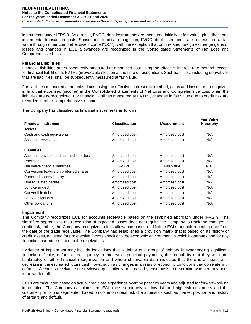instruments under IFRS 9. As a result, FVOCI debt instruments are measured initially at fair value, plus direct and incremental transaction costs. Subsequent to initial recognition, FVOCI debt instruments are remeasured at fair value through other comprehensive income ("OCI"), with the exception that both related foreign exchange gains or losses and changes in ECL allowances are recognized in the Consolidated Statements of Net Loss and Comprehensive Loss.

# **Financial Liabilities**

Financial liabilities are subsequently measured at amortized cost using the effective interest rate method, except for financial liabilities at FVTPL (irrevocable election at the time of recognition). Such liabilities, including derivatives that are liabilities, shall be subsequently measured at fair value.

For liabilities measured at amortized cost using the effective interest rate method, gains and losses are recognized in financial expenses (income) in the Consolidated Statements of Net Loss and Comprehensive Loss when the liabilities are derecognized. For financial liabilities measured at FVTPL, changes in fair value due to credit risk are recorded in other comprehensive income.

The Company has classified its financial instruments as follows:

|                |                       | <b>Fair Value</b><br>Hierarchy |
|----------------|-----------------------|--------------------------------|
|                |                       |                                |
|                |                       |                                |
| Amortized cost | Amortized cost        | N/A                            |
| Amortized cost | Amortized cost        | N/A                            |
|                |                       |                                |
|                |                       |                                |
| Amortized cost | Amortized cost        | N/A                            |
| Amortized cost | Amortized cost        | N/A                            |
| <b>FVTPL</b>   | Fair value            | Level 3                        |
| Amortized cost | Amortized cost        | N/A                            |
| Amortized cost | Amortized cost        | N/A                            |
| Amortized cost | Amortized cost        | N/A                            |
| Amortized cost | Amortized cost        | N/A                            |
| Amortized cost | Amortized cost        | N/A                            |
| Amortized cost | Amortized cost        | N/A                            |
| Amortized cost | Amortized cost        | N/A                            |
|                | <b>Classification</b> | <b>Measurement</b>             |

# **Impairment**

The Company recognizes ECL for accounts receivable based on the simplified approach under IFRS 9. The simplified approach to the recognition of expected losses does not require the Company to track the changes in credit risk; rather, the Company recognizes a loss allowance based on lifetime ECLs at each reporting date from the date of the trade receivable. The Company has established a provision matrix that is based on its history of credit losses, adjusted for prospective factors specific to the economic environment in which it operates and for any financial guarantee related to the receivables.

Evidence of impairment may include indications that a debtor or a group of debtors is experiencing significant financial difficulty, default or delinquency in interest or principal payments, the probability that they will enter bankruptcy or other financial reorganization and where observable data indicates that there is a measurable decrease in the estimated future cash flows, such as changes in arrears or economic conditions that correlate with defaults. Accounts receivable are reviewed qualitatively on a case-by-case basis to determine whether they need to be written off.

ECLs are calculated based on actual credit loss experience over the past two years and adjusted for forward-looking information. The Company calculates the ECL rates separately for low-risk and high-risk customers and the customer portfolio is segmented based on common credit risk characteristics such as market position and history of arrears and default.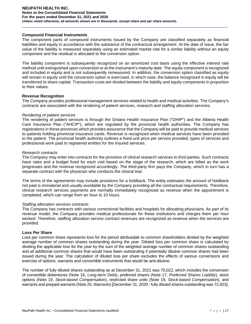## **Compound Financial Instruments**

The component parts of compound instruments issued by the Company are classified separately as financial liabilities and equity in accordance with the substance of the contractual arrangement. At the date of issue, the fair value of the liability is measured separately using an estimated market rate for a similar liability without an equity component and the residual is allocated to the conversion option.

The liability component is subsequently recognized on an amortized cost basis using the effective interest rate method until extinguished upon conversion or at the instrument's maturity date. The equity component is recognized and included in equity and is not subsequently remeasured. In addition, the conversion option classified as equity will remain in equity until the conversion option is exercised, in which case, the balance recognized in equity will be transferred to share capital. Transaction costs are divided between the liability and equity components in proportion to their values.

### **Revenue Recognition**

The Company provides professional management services related to health and medical activities. The Company's contracts are associated with the rendering of patient services, research and staffing allocation services.

### *Rendering of patient services*

The rendering of patient services is through the Ontario Health Insurance Plan ("OHIP") and the Alberta Health Care Insurance Plan ("AHCIP"), which are regulated by the provincial health authorities. The Company has registrations in these provinces which provides assurance that the Company will be paid to provide medical services to patients holding provincial insurance cards. Revenue is recognized when medical services have been provided to the patient. The provincial health authority outlines a fixed-unit price per service provided, types of services and professional work paid to registered entities for the insured services.

### *Research contracts*

The Company may enter into contracts for the provision of clinical research services to third parties. Such contracts have rates and a budget fixed for each visit based on the stage of the research, which are billed as the work progresses and the revenue recognized accordingly. The third-party firm pays the Company, which in turn has a separate contract with the physician who conducts the clinical trial.

The terms of the agreements may include provisions for a holdback. The entity estimates the amount of holdback not paid is immaterial and usually avoidable by the Company providing all the contractual requirements. Therefore, clinical research services payments are normally immediately recognized as revenue when the appointment is completed, which can range from an hour to 10 hours.

### *Staffing allocation services contracts*

The Company has contracts with various correctional facilities and hospitals for allocating physicians. As part of its revenue model, the Company provides medical professionals for these institutions and charges them per hour worked. Therefore, staffing allocation service contract revenues are recognized as revenue when the services are provided.

### **Loss Per Share**

Loss per common share represents loss for the period attributable to common shareholders divided by the weighted average number of common shares outstanding during the year. Diluted loss per common share is calculated by dividing the applicable loss for the year by the sum of the weighted average number of common shares outstanding and all additional common shares that would have been outstanding if potentially dilutive common shares had been issued during the year. The calculation of diluted loss per share excludes the effects of various conversions and exercise of options, warrants and convertible instruments that would be anti-dilutive.

The number of fully diluted shares outstanding as at December 31, 2021 was 70,022, which includes the conversion of convertible debentures (Note [16](#page-26-0)*, Long-term Debt*), preferred shares (Note [17,](#page-27-0) *Preferred Shares Liability*), stock options (Note [19,](#page-28-1) *Stock-based Compensation*), restricted share units (Note [19,](#page-28-1) *Stock-based Compensation*), and warrants and prepaid warrants (Not[e 20,](#page-30-0) *Warrants*) [December 31, 2020 - fully diluted shares outstanding was 72,823].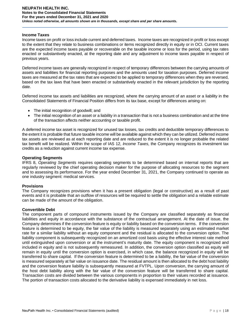# **Income Taxes**

Income taxes on profit or loss include current and deferred taxes. Income taxes are recognized in profit or loss except to the extent that they relate to business combinations or items recognized directly in equity or in OCI. Current taxes are the expected income taxes payable or recoverable on the taxable income or loss for the period, using tax rates enacted or substantively enacted, at the reporting date and any adjustment to income taxes payable in respect of previous years.

Deferred income taxes are generally recognized in respect of temporary differences between the carrying amounts of assets and liabilities for financial reporting purposes and the amounts used for taxation purposes. Deferred income taxes are measured at the tax rates that are expected to be applied to temporary differences when they are reversed, based on the tax laws that have been enacted or substantively enacted in the relevant jurisdiction by the reporting date.

Deferred income tax assets and liabilities are recognized, where the carrying amount of an asset or a liability in the Consolidated Statements of Financial Position differs from its tax base, except for differences arising on:

- The initial recognition of goodwill; and
- The initial recognition of an asset or a liability in a transaction that is not a business combination and at the time of the transaction affects neither accounting or taxable profit.

A deferred income tax asset is recognized for unused tax losses, tax credits and deductible temporary differences to the extent it is probable that future taxable income will be available against which they can be utilized. Deferred income tax assets are reviewed as at each reporting date and are reduced to the extent it is no longer probable the related tax benefit will be realized. Within the scope of IAS 12, *Income Taxes*, the Company recognizes its investment tax credits as a reduction against current income tax expense.

# **Operating Segments**

IFRS 8, *Operating Segments* requires operating segments to be determined based on internal reports that are regularly reviewed by the chief operating decision maker for the purpose of allocating resources to the segment and to assessing its performance. For the year ended December 31, 2021, the Company continued to operate as one industry segment: medical services.

# **Provisions**

The Company recognizes provisions when it has a present obligation (legal or constructive) as a result of past events and it is probable that an outflow of resources will be required to settle the obligation and a reliable estimate can be made of the amount of the obligation.

# **Convertible Debt**

The component parts of compound instruments issued by the Company are classified separately as financial liabilities and equity in accordance with the substance of the contractual arrangement. At the date of issue, the Company determines if the conversion feature is equity or liability based on the conversion terms. If the conversion feature is determined to be equity, the fair value of the liability is measured separately using an estimated market rate for a similar liability without an equity component and the residual is allocated to the conversion option. The liability component is subsequently recognized on an amortized cost basis using the effective interest rate method until extinguished upon conversion or at the instrument's maturity date. The equity component is recognized and included in equity and is not subsequently remeasured. In addition, the conversion option classified as equity will remain in equity until the conversion option is exercised, in which case, the balance recognized in equity will be transferred to share capital. If the conversion feature is determined to be a liability, the fair value of the conversion is measured separately at fair value on issuance date. The residual amount is then allocated to the debt host liability and the conversion feature liability is subsequently measured at FVTPL. Upon conversion, the carrying amount of the host debt liability along with the fair value of the conversion feature will be transferred to share capital. Transaction costs are divided between the various components in proportion to their values recorded at issuance. The portion of transaction costs allocated to the derivative liability is expensed immediately in net loss.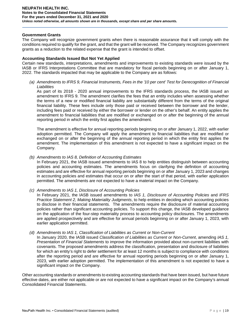# **Government Grants**

The Company will recognize government grants when there is reasonable assurance that it will comply with the conditions required to qualify for the grant, and that the grant will be received. The Company recognizes government grants as a reduction to the related expense that the grant is intended to offset.

# **Accounting Standards Issued But Not Yet Applied**

Certain new standards, interpretations, amendments and improvements to existing standards were issued by the IASB or IFRS Interpretations Committee that are mandatory for fiscal periods beginning on or after January 1, 2022. The standards impacted that may be applicable to the Company are as follows:

*(a) Amendments to IFRS 9, Financial Instruments, Fees in the '10 per cent' Test for Derecognition of Financial Liabilities*

As part of its 2018 - 2020 annual improvements to the IFRS standards process, the IASB issued an amendment to IFRS 9. The amendment clarifies the fees that an entity includes when assessing whether the terms of a new or modified financial liability are substantially different from the terms of the original financial liability. These fees include only those paid or received between the borrower and the lender, including fees paid or received by either the borrower or lender on the other's behalf. An entity applies the amendment to financial liabilities that are modified or exchanged on or after the beginning of the annual reporting period in which the entity first applies the amendment.

The amendment is effective for annual reporting periods beginning on or after January 1, 2022, with earlier adoption permitted. The Company will apply the amendment to financial liabilities that are modified or exchanged on or after the beginning of the annual reporting period in which the entity first applies the amendment. The implementation of this amendment is not expected to have a significant impact on the Company.

## *(b) Amendments to IAS 8, Definition of Accounting Estimates*

In February 2021, the IASB issued amendments to IAS 8 to help entities distinguish between accounting policies and accounting estimates. The amendments focus on clarifying the definition of accounting estimates and are effective for annual reporting periods beginning on or after January 1, 2023 and changes in accounting policies and estimates that occur on or after the start of that period, with earlier application permitted. The amendments are not expected to have a material impact on the Company.

# *(c) Amendments to IAS 1, Disclosure of Accounting Policies*

In February 2021, the IASB issued amendments to *IAS 1, Disclosure of Accounting Policies* and *IFRS Practice Statement 2, Making Materiality Judgments*, to help entities in deciding which accounting policies to disclose in their financial statements. The amendments require the disclosure of material accounting policies rather than significant accounting policies. To support this change, the IASB developed guidance on the application of the four-step materiality process to accounting policy disclosures. The amendments are applied prospectively and are effective for annual periods beginning on or after January 1, 2023, with earlier application permitted.

# *(d) Amendments to IAS 1, Classification of Liabilities as Current or Non-Current*

In January 2020, the IASB issued *Classification of Liabilities as Current or Non-Current*, amending *IAS 1, Presentation of Financial Statements* to improve the information provided about non-current liabilities with covenants. The proposed amendments address the classification, presentation and disclosure of liabilities for which an entity's right to defer settlement for at least 12 months is subject to compliance with conditions after the reporting period and are effective for annual reporting periods beginning on or after January 1, 2023, with earlier adoption permitted. The implementation of this amendment is not expected to have a significant impact on the Company.

Other accounting standards or amendments to existing accounting standards that have been issued, but have future effective dates, are either not applicable or are not expected to have a significant impact on the Company's annual Consolidated Financial Statements.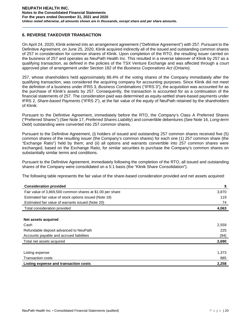# <span id="page-19-0"></span>**6. REVERSE TAKEOVER TRANSACTION**

On April 24, 2020, Klinik entered into an arrangement agreement ("Definitive Agreement") with 257. Pursuant to the Definitive Agreement, on June 25, 2020, Klinik acquired indirectly all of the issued and outstanding common shares of 257 in consideration for common shares of Klinik. Upon completion of the RTO, the resulting issuer carried on the business of 257 and operates as NeuPath Health Inc. This resulted in a reverse takeover of Klinik by 257 as a qualifying transaction, as defined in the policies of the TSX Venture Exchange and was affected through a court approved plan of arrangement under Section 182 of the *Business Corporations Act* (Ontario).

257, whose shareholders held approximately 86.4% of the voting shares of the Company immediately after the qualifying transaction, was considered the acquiring company for accounting purposes. Since Klinik did not meet the definition of a business under IFRS 3*, Business Combinations* ("IFRS 3"), the acquisition was accounted for as the purchase of Klinik's assets by 257. Consequently, the transaction is accounted for as a continuation of the financial statements of 257. The consideration paid was determined as equity-settled share-based payments under IFRS 2, *Share-based Payments* ("IFRS 2"), at the fair value of the equity of NeuPath retained by the shareholders of Klinik.

Pursuant to the Definitive Agreement, immediately before the RTO, the Company's Class A Preferred Shares ("Preferred Shares") (See Not[e 17,](#page-27-0) *Preferred Shares Liability*) and convertible debentures (See Note [16,](#page-26-0) *Long-term Debt*) outstanding were converted into 257 common shares.

Pursuant to the Definitive Agreement, (i) holders of issued and outstanding 257 common shares received five (5) common shares of the resulting issuer (the Company's common shares) for each one (1) 257 common share (the "Exchange Ratio") held by them; and (ii) all options and warrants convertible into 257 common shares were exchanged, based on the Exchange Ratio, for similar securities to purchase the Company's common shares on substantially similar terms and conditions.

Pursuant to the Definitive Agreement, immediately following the completion of the RTO, all issued and outstanding shares of the Company were consolidated on a 5:1 basis (the "Klinik Share Consolidation").

The following table represents the fair value of the share-based consideration provided and net assets acquired:

| <b>Consideration provided</b>                             | \$    |
|-----------------------------------------------------------|-------|
| Fair value of 3,869,500 common shares at \$1.00 per share | 3,870 |
| Estimated fair value of stock options issued (Note 19)    | 119   |
| Estimated fair value of warrants issued (Note 20)         | 74    |
| Total consideration provided                              | 4,063 |
|                                                           |       |
| Net assets acquired                                       |       |
| Cash                                                      | 2,559 |
| Refundable deposit advanced to NeuPath                    | 225   |
| Accounts payable and accrued liabilities                  | (94)  |
| Total net assets acquired                                 | 2,690 |
|                                                           |       |
| Listing expense                                           | 1,373 |
| Transaction costs                                         | 885   |
| Listing expense and transaction costs                     | 2,258 |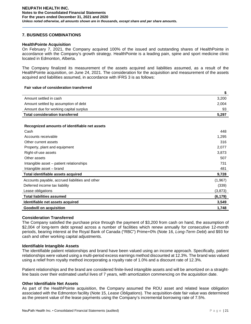# <span id="page-20-0"></span>**7. BUSINESS COMBINATIONS**

## **HealthPointe Acquisition**

On February 7, 2021, the Company acquired 100% of the issued and outstanding shares of HealthPointe in accordance with the Company's growth strategy. HealthPointe is a leading pain, spine and sport medicine clinic located in Edmonton, Alberta.

The Company finalized its measurement of the assets acquired and liabilities assumed, as a result of the HealthPointe acquisition, on June 24, 2021. The consideration for the acquisition and measurement of the assets acquired and liabilities assumed, in accordance with IFRS 3 is as follows:

### **Fair value of consideration transferred**

| Amount settled in cash                 | 3,200 |
|----------------------------------------|-------|
| Amount settled by assumption of debt   | 2,004 |
| Amount due for working capital surplus | 93    |
| <b>Total consideration transferred</b> | 5,297 |

## **Recognized amounts of identifiable net assets**

| Cash                                            | 448     |
|-------------------------------------------------|---------|
| Accounts receivable                             | 1,295   |
| Other current assets                            | 316     |
| Property, plant and equipment                   | 2,077   |
| Right-of-use assets                             | 3,873   |
| Other assets                                    | 507     |
| Intangible asset - patient relationships        | 731     |
| Intangible asset - brand                        | 481     |
| Total identifiable assets acquired              | 9,728   |
| Accounts payable, accrued liabilities and other | (1,967) |
| Deferred income tax liability                   | (339)   |
| Lease obligations                               | (3,873) |
| <b>Total liabilities assumed</b>                | (6,179) |
| Identifiable net assets acquired                | 3,549   |
| <b>Goodwill on acquisition</b>                  | 1,748   |

### **Consideration Transferred**

The Company satisfied the purchase price through the payment of \$3,200 from cash on hand, the assumption of \$2,004 of long-term debt spread across a number of facilities which renew annually for consecutive 12-month periods, bearing interest at the Royal Bank of Canada ("RBC") Prime+0% (Note [16,](#page-26-0) *Long-Term Debt*) and \$93 for cash and other working capital adjustments.

### **Identifiable Intangible Assets**

The identifiable patient relationships and brand have been valued using an income approach. Specifically, patient relationships were valued using a multi-period excess earnings method discounted at 12.3%. The brand was valued using a relief from royalty method incorporating a royalty rate of 1.0% and a discount rate of 12.3%.

Patient relationships and the brand are considered finite-lived intangible assets and will be amortized on a straightline basis over their estimated useful lives of 7 years, with amortization commencing on the acquisition date.

# **Other Identifiable Net Assets**

As part of the HealthPointe acquisition, the Company assumed the ROU asset and related lease obligation associated with the Edmonton facility (Note [15,](#page-25-1) *Lease Obligations*). The acquisition-date fair value was determined as the present value of the lease payments using the Company's incremental borrowing rate of 7.5%.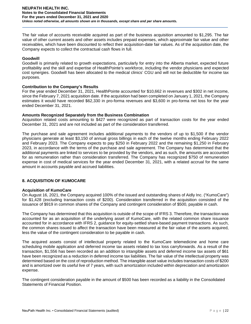The fair value of accounts receivable acquired as part of the business acquisition amounted to \$1,295. The fair value of other current assets and other assets includes prepaid expenses, which approximate fair value and other receivables, which have been discounted to reflect their acquisition-date fair values. As of the acquisition date, the Company expects to collect the contractual cash flows in full.

# **Goodwill**

Goodwill is primarily related to growth expectations, particularly for entry into the Alberta market, expected future profitability and the skill and expertise of HealthPointe's workforce, including the vendor physicians and expected cost synergies. Goodwill has been allocated to the medical clinics' CGU and will not be deductible for income tax purposes.

# **Contribution to the Company's Results**

For the year ended December 31, 2021, HealthPointe accounted for \$10,662 in revenues and \$302 in net income, since the February 7, 2021 acquisition date. If the acquisition had been completed on January 1, 2021, the Company estimates it would have recorded \$62,330 in pro-forma revenues and \$3,600 in pro-forma net loss for the year ended December 31, 2021.

# **Amounts Recognized Separately from the Business Combination**

Acquisition related costs amounting to \$427 were recognized as part of transaction costs for the year ended December 31, 2021 and are not included as part of the consideration transferred.

The purchase and sale agreement includes additional payments to the vendors of up to \$1,500 if the vendor physicians generate at least \$3,150 of annual gross billings in each of the twelve months ending February 2022 and February 2023. The Company expects to pay \$250 in February 2022 and the remaining \$1,250 in February 2023, in accordance with the terms of the purchase and sale agreement. The Company has determined that the additional payments are linked to services to be provided by the vendors, and as such, the amounts are accounted for as remuneration rather than consideration transferred. The Company has recognized \$750 of remuneration expense in cost of medical services for the year ended December 31, 2021, with a related accrual for the same amount in accounts payable and accrued liabilities.

# <span id="page-21-0"></span>**8. ACQUISITION OF KUMOCARE**

# **Acquisition of KumoCare**

On August 16, 2021, the Company acquired 100% of the issued and outstanding shares of Aidly Inc. ("KumoCare") for \$1,428 (excluding transaction costs of \$200). Consideration transferred in the acquisition consisted of the issuance of \$919 in common shares of the Company and contingent consideration of \$500, payable in cash.

The Company has determined that this acquisition is outside of the scope of IFRS 3. Therefore, the transaction was accounted for as an acquisition of the underlying asset of KumoCare, with the related common share issuance accounted for in accordance with IFRS 2, guidance for equity-settled share-based payment transactions. As such, the common shares issued to affect the transaction have been measured at the fair value of the assets acquired, less the value of the contingent consideration to be payable in cash.

The acquired assets consist of intellectual property related to the KumoCare telemedicine and home care scheduling mobile application and deferred income tax assets related to tax loss carryforwards. As a result of the transaction, \$1,556 has been recorded as an addition to intangible assets and deferred income tax assets of \$61 have been recognized as a reduction in deferred income tax liabilities. The fair value of the intellectual property was determined based on the cost of reproduction method. The intangible asset value includes transaction costs of \$200 and is amortized over its useful live of 7 years, with such amortization included within depreciation and amortization expense.

The contingent consideration payable in the amount of \$500 has been recorded as a liability in the Consolidated Statements of Financial Position.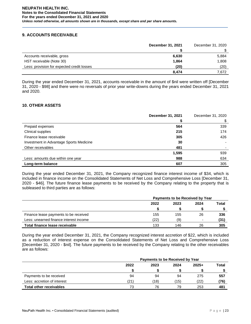# <span id="page-22-0"></span>**9. ACCOUNTS RECEIVABLE**

|                                            | December 31, 2021 | December 31, 2020 |
|--------------------------------------------|-------------------|-------------------|
|                                            |                   |                   |
| Accounts receivable, gross                 | 6,630             | 5,884             |
| HST receivable (Note 30)                   | 1,864             | 1,808             |
| Less: provision for expected credit losses | (20)              | (20)              |
|                                            | 8.474             | 7.672             |

During the year ended December 31, 2021, accounts receivable in the amount of \$nil were written off [December 31, 2020 - \$98] and there were no reversals of prior year write-downs during the years ended December 31, 2021 and 2020.

# <span id="page-22-1"></span>**10. OTHER ASSETS**

|                                         | December 31, 2021 | December 31, 2020 |
|-----------------------------------------|-------------------|-------------------|
|                                         |                   |                   |
| Prepaid expenses                        | 564               | 339               |
| <b>Clinical supplies</b>                | 215               | 174               |
| Finance lease receivable                | 305               | 426               |
| Investment in Advantage Sports Medicine | 30                |                   |
| Other receivables                       | 481               |                   |
|                                         | 1,595             | 939               |
| Less: amounts due within one year       | 988               | 634               |
| Long-term balance                       | 607               | 305               |

During the year ended December 31, 2021, the Company recognized finance interest income of \$34, which is included in finance income on the Consolidated Statements of Net Loss and Comprehensive Loss [December 31, 2020 - \$46]. The future finance lease payments to be received by the Company relating to the property that is subleased to third parties are as follows:

|                                        | <b>Payments to be Received by Year</b> |      |                          |       |  |
|----------------------------------------|----------------------------------------|------|--------------------------|-------|--|
|                                        | 2022                                   | 2023 |                          | Total |  |
|                                        |                                        |      |                          |       |  |
| Finance lease payments to be received  | 155                                    | 155  | 26                       | 336   |  |
| Less: unearned finance interest income | (22)                                   | (9)  | $\overline{\phantom{0}}$ | (31)  |  |
| Total finance lease receivable         | 133                                    | 146  | 26                       | 305   |  |

During the year ended December 31, 2021, the Company recognized interest accretion of \$22, which is included as a reduction of interest expense on the Consolidated Statements of Net Loss and Comprehensive Loss [December 31, 2020 - \$nil]. The future payments to be received by the Company relating to the other receivables are as follows:

|                                | Payments to be Received by Year |              |      |         |       |
|--------------------------------|---------------------------------|--------------|------|---------|-------|
|                                | 2022                            | 2023<br>2024 |      | $2025+$ | Total |
|                                |                                 |              |      |         |       |
| Payments to be received        | 94                              | 94           | 94   | 275     | 557   |
| Less: accretion of interest    | (21)                            | '18)         | (15) | (22)    | (76)  |
| <b>Total other receivables</b> | 73                              | 76           | 79   | 253     | 481   |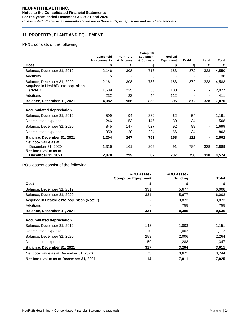# <span id="page-23-0"></span>**11. PROPERTY, PLANT AND EQUIPMENT**

## PP&E consists of the following:

|                                                                    | Leasehold           | <b>Furniture</b> | <b>Computer</b><br>Equipment<br>& Software | <b>Medical</b> |                 |      |       |
|--------------------------------------------------------------------|---------------------|------------------|--------------------------------------------|----------------|-----------------|------|-------|
|                                                                    | <b>Improvements</b> | & Fixtures       |                                            | Equipment      | <b>Building</b> | Land | Total |
| Cost                                                               | S                   | S                | S                                          | S              | \$              | S    | \$    |
| Balance, December 31, 2019                                         | 2,146               | 308              | 713                                        | 183            | 872             | 328  | 4,550 |
| Additions                                                          | 15                  |                  | 23                                         |                |                 |      | 38    |
| Balance, December 31, 2020<br>Acquired in HealthPointe acquisition | 2,161               | 308              | 736                                        | 183            | 872             | 328  | 4,588 |
| (Note 7)                                                           | 1,689               | 235              | 53                                         | 100            |                 |      | 2,077 |
| Additions                                                          | 232                 | 23               | 44                                         | 112            |                 |      | 411   |
| Balance, December 31, 2021                                         | 4,082               | 566              | 833                                        | 395            | 872             | 328  | 7,076 |
| <b>Accumulated depreciation</b>                                    |                     |                  |                                            |                |                 |      |       |
| Balance, December 31, 2019                                         | 599                 | 94               | 382                                        | 62             | 54              |      | 1,191 |
| Depreciation expense                                               | 246                 | 53               | 145                                        | 30             | 34              |      | 508   |
| Balance, December 31, 2020                                         | 845                 | 147              | 527                                        | 92             | 88              |      | 1,699 |
| Depreciation expense                                               | 359                 | 120              | 224                                        | 66             | 34              |      | 803   |
| Balance, December 31, 2021                                         | 1,204               | 267              | 751                                        | 158            | 122             |      | 2,502 |
| Net book value as at                                               |                     |                  |                                            |                |                 |      |       |
| December 31, 2020                                                  | 1,316               | 161              | 209                                        | 91             | 784             | 328  | 2,889 |
| Net book value as at<br>December 31, 2021                          | 2,878               | 299              | 82                                         | 237            | 750             | 328  | 4,574 |

ROU assets consist of the following:

|                                               | <b>ROU Asset -</b>        | <b>ROU Asset -</b> |        |
|-----------------------------------------------|---------------------------|--------------------|--------|
|                                               | <b>Computer Equipment</b> | <b>Building</b>    | Total  |
| Cost                                          | \$                        | 5                  | \$     |
| Balance, December 31, 2019                    | 331                       | 5,677              | 6,008  |
| Balance, December 31, 2020                    | 331                       | 5,677              | 6,008  |
| Acquired in HealthPointe acquisition (Note 7) |                           | 3,873              | 3,873  |
| Additions                                     |                           | 755                | 755    |
| Balance, December 31, 2021                    | 331                       | 10,305             | 10,636 |
| <b>Accumulated depreciation</b>               |                           |                    |        |
| Balance, December 31, 2019                    | 148                       | 1,003              | 1,151  |
| Depreciation expense                          | 110                       | 1.003              | 1,113  |
| Balance, December 31, 2020                    | 258                       | 2,006              | 2,264  |
| Depreciation expense                          | 59                        | 1.288              | 1,347  |
| Balance, December 31, 2021                    | 317                       | 3,294              | 3,611  |
| Net book value as at December 31, 2020        | 73                        | 3,671              | 3,744  |
| Net book value as at December 31, 2021        | 14                        | 7,011              | 7,025  |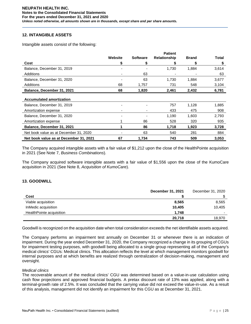# <span id="page-24-0"></span>**12. INTANGIBLE ASSETS**

Intangible assets consist of the following:

|                                        |                          |                 | <b>Patient</b>      |              |       |
|----------------------------------------|--------------------------|-----------------|---------------------|--------------|-------|
|                                        | Website                  | <b>Software</b> | <b>Relationship</b> | <b>Brand</b> | Total |
| Cost                                   | \$                       | S               |                     | S            | \$    |
| Balance, December 31, 2019             |                          |                 | 1,730               | 1,884        | 3,614 |
| Additions                              | $\overline{\phantom{a}}$ | 63              |                     |              | 63    |
| Balance, December 31, 2020             |                          | 63              | 1,730               | 1,884        | 3,677 |
| Additions                              | 68                       | 1,757           | 731                 | 548          | 3,104 |
| Balance, December 31, 2021             | 68                       | 1,820           | 2,461               | 2,432        | 6,781 |
| <b>Accumulated amortization</b>        |                          |                 |                     |              |       |
| Balance, December 31, 2019             |                          | ٠               | 757                 | 1,128        | 1,885 |
| Amortization expense                   |                          |                 | 433                 | 475          | 908   |
| Balance, December 31, 2020             |                          |                 | 1,190               | 1,603        | 2,793 |
| Amortization expense                   |                          | 86              | 528                 | 320          | 935   |
| Balance, December 31, 2021             |                          | 86              | 1,718               | 1,923        | 3,728 |
| Net book value as at December 31, 2020 |                          | 63              | 540                 | 281          | 884   |
| Net book value as at December 31, 2021 | 67                       | 1,734           | 743                 | 509          | 3,053 |

The Company acquired intangible assets with a fair value of \$1,212 upon the close of the HealthPointe acquisition in 2021 (See Note [7,](#page-20-0) *Business Combinations*).

The Company acquired software intangible assets with a fair value of \$1,556 upon the close of the KumoCare acquisition in 2021 (See Note [8,](#page-21-0) *Acquisition of KumoCare*).

# <span id="page-24-1"></span>**13. GOODWILL**

|                          | December 31, 2021 | December 31, 2020 |
|--------------------------|-------------------|-------------------|
| Cost                     |                   |                   |
| Viable acquisition       | 8,565             | 8,565             |
| InMedic acquisition      | 10,405            | 10,405            |
| HealthPointe acquisition | 1.748             | -                 |
|                          | 20,718            | 18.970            |

Goodwill is recognized on the acquisition date when total consideration exceeds the net identifiable assets acquired.

The Company performs an impairment test annually on December 31 or whenever there is an indication of impairment. During the year ended December 31, 2020, the Company recognized a change in its grouping of CGUs for impairment testing purposes, with goodwill being allocated to a single group representing all of the Company's medical clinics' CGUs: Medical clinics. This allocation reflects the level at which management monitors goodwill for internal purposes and at which benefits are realized through centralization of decision-making, management and oversight.

### *Medical clinics*

The recoverable amount of the medical clinics' CGU was determined based on a value-in-use calculation using cash flow projections and approved financial budgets. A pretax discount rate of 13% was applied, along with a terminal-growth rate of 2.5%. It was concluded that the carrying value did not exceed the value-in-use. As a result of this analysis, management did not identify an impairment for this CGU as at December 31, 2021.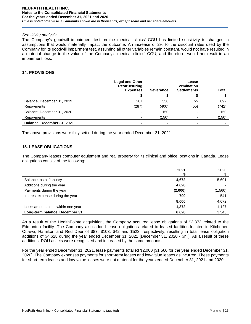### *Sensitivity analysis*

The Company's goodwill impairment test on the medical clinics' CGU has limited sensitivity to changes in assumptions that would materially impact the outcome. An increase of 2% to the discount rates used by the Company for its goodwill impairment test, assuming all other variables remain constant, would not have resulted in a material change to the value of the Company's medical clinics' CGU, and therefore, would not result in an impairment loss.

## <span id="page-25-0"></span>**14. PROVISIONS**

|                            | <b>Legal and Other</b><br><b>Restructuring</b><br><b>Expenses</b> | <b>Severance</b> | Lease<br><b>Termination</b><br><b>Settlements</b> | <b>Total</b> |
|----------------------------|-------------------------------------------------------------------|------------------|---------------------------------------------------|--------------|
|                            |                                                                   |                  |                                                   |              |
| Balance, December 31, 2019 | 287                                                               | 550              | 55                                                | 892          |
| Repayments                 | (287)                                                             | (400)            | (55)                                              | (742)        |
| Balance, December 31, 2020 |                                                                   | 150              | -                                                 | 150          |
| Repayments                 | $\overline{\phantom{0}}$                                          | (150)            | -                                                 | (150)        |
| Balance, December 31, 2021 |                                                                   |                  | -                                                 |              |

The above provisions were fully settled during the year ended December 31, 2021.

# <span id="page-25-1"></span>**15. LEASE OBLIGATIONS**

The Company leases computer equipment and real property for its clinical and office locations in Canada. Lease obligations consist of the following:

|                                   | 2021    | 2020    |
|-----------------------------------|---------|---------|
|                                   |         |         |
| Balance, as at January 1          | 4,672   | 5,691   |
| Additions during the year         | 4,628   |         |
| Payments during the year          | (2,000) | (1,560) |
| Interest expense during the year  | 700     | 541     |
|                                   | 8,000   | 4,672   |
| Less: amounts due within one year | 1,372   | 1,127   |
| Long-term balance, December 31    | 6,628   | 3,545   |

As a result of the HealthPointe acquisition, the Company acquired lease obligations of \$3,873 related to the Edmonton facility. The Company also added lease obligations related to leased facilities located in Kitchener, Ottawa, Hamilton and Red Deer of \$87, \$103, \$42 and \$523, respectively, resulting in total lease obligation additions of \$4,628 during the year ended December 31, 2021 [December 31, 2020 - \$nil]. As a result of these additions, ROU assets were recognized and increased by the same amounts.

For the year ended December 31, 2021, lease payments totalled \$2,000 [\$1,560 for the year ended December 31, 2020]. The Company expenses payments for short-term leases and low-value leases as incurred. These payments for short-term leases and low-value leases were not material for the years ended December 31, 2021 and 2020.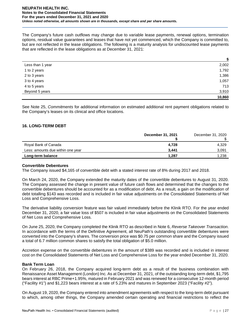The Company's future cash outflows may change due to variable lease payments, renewal options, termination options, residual value guarantees and leases that have not yet commenced, which the Company is committed to, but are not reflected in the lease obligations. The following is a maturity analysis for undiscounted lease payments that are reflected in the lease obligations as at December 31, 2021:

|                  | œ      |
|------------------|--------|
| Less than 1 year | 2,002  |
| 1 to 2 years     | 1,792  |
| 2 to 3 years     | 1,386  |
| 3 to 4 years     | 1,057  |
| 4 to 5 years     | 713    |
| Beyond 5 years   | 3,910  |
|                  | 10,860 |

See Note [25,](#page-34-0) *Commitments* for additional information on estimated additional rent payment obligations related to the Company's leases on its clinical and office locations.

# <span id="page-26-0"></span>**16. LONG-TERM DEBT**

|                                   | December 31, 2021 | December 31, 2020 |
|-----------------------------------|-------------------|-------------------|
| Royal Bank of Canada              | 4.728             | 4.329             |
| Less: amounts due within one year | 3.441             | 3,091             |
| Long-term balance                 | 1.287             | 1.238             |

# **Convertible Debentures**

The Company issued \$4,165 of convertible debt with a stated interest rate of 8% during 2017 and 2018.

On March 24, 2020, the Company extended the maturity dates of the convertible debentures to August 31, 2020. The Company assessed the change in present value of future cash flows and determined that the changes to the convertible debentures should be accounted for as a modification of debt. As a result, a gain on the modification of debt totalling \$143 was recorded and is included in fair value adjustments on the Consolidated Statements of Net Loss and Comprehensive Loss.

The derivative liability conversion feature was fair valued immediately before the Klinik RTO. For the year ended December 31, 2020, a fair value loss of \$507 is included in fair value adjustments on the Consolidated Statements of Net Loss and Comprehensive Loss.

On June 25, 2020, the Company completed the Klinik RTO as described in Note [6,](#page-19-0) *Reverse Takeover Transaction*. In accordance with the terms of the Definitive Agreement, all NeuPath's outstanding convertible debentures were converted into the Company's shares. The conversion price was \$0.75 per common share and the Company issued a total of 6.7 million common shares to satisfy the total obligation of \$5.0 million.

Accretion expense on the convertible debentures in the amount of \$389 was recorded and is included in interest cost on the Consolidated Statements of Net Loss and Comprehensive Loss for the year ended December 31, 2020.

# **Bank Term Loan**

On February 26, 2018, the Company acquired long-term debt as a result of the business combination with Renaissance Asset Management (London) Inc. As at December 31, 2021, of the outstanding long-term debt, \$1,795 bears interest at RBC Prime+1.95%, matured in February 2021 and was renewed for a consecutive 12-month period ("Facility #1") and \$1,223 bears interest at a rate of 5.23% and matures in September 2023 ("Facility #2").

On August 19, 2020, the Company entered into amendment agreements with respect to the long-term debt pursuant to which, among other things, the Company amended certain operating and financial restrictions to reflect the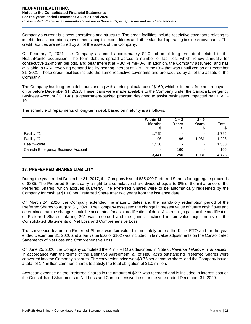Company's current business operations and structure. The credit facilities include restrictive covenants relating to indebtedness, operations, investments, capital expenditures and other standard operating business covenants. The credit facilities are secured by all of the assets of the Company.

On February 7, 2021, the Company assumed approximately \$2.0 million of long-term debt related to the HealthPointe acquisition. The term debt is spread across a number of facilities, which renew annually for consecutive 12-month periods, and bear interest at RBC Prime+0%. In addition, the Company assumed, and has available, a \$750 revolving demand facility bearing interest at RBC Prime+0% that was unutilized as at December 31, 2021. These credit facilities include the same restrictive covenants and are secured by all of the assets of the Company.

The Company has long-term debt outstanding with a principal balance of \$160, which is interest free and repayable on or before December 31, 2023. These loans were made available to the Company under the Canada Emergency Business Account ("CEBA"), a government-backed program designed to assist businesses impacted by COVID-19.

The schedule of repayments of long-term debt, based on maturity is as follows:

|                                   | Within 12<br><b>Months</b> | $1 - 2$<br>Years | $2 - 5$<br>Years | <b>Total</b> |
|-----------------------------------|----------------------------|------------------|------------------|--------------|
| Facility #1                       | 1,795                      | -                | ۰                | 1,795        |
| Facility #2                       | 96                         | 96               | 1,031            | 1,223        |
| HealthPointe                      | 1,550                      |                  | ۰                | 1,550        |
| Canada Emergency Business Account | $\overline{\phantom{0}}$   | 160              | ۰                | 160          |
|                                   | 3,441                      | 256              | 1,031            | 4,728        |

# <span id="page-27-0"></span>**17. PREFERRED SHARES LIABILITY**

During the year ended December 31, 2017, the Company issued 835,000 Preferred Shares for aggregate proceeds of \$835. The Preferred Shares carry a right to a cumulative share dividend equal to 8% of the initial price of the Preferred Shares, which accrues quarterly. The Preferred Shares were to be automatically redeemed by the Company for cash at \$1.00 per Preferred Share after two years from the issuance date.

On March 24, 2020, the Company extended the maturity dates and the mandatory redemption period of the Preferred Shares to August 31, 2020. The Company assessed the change in present value of future cash flows and determined that the change should be accounted for as a modification of debt. As a result, a gain on the modification of Preferred Shares totalling \$61 was recorded and the gain is included in fair value adjustments on the Consolidated Statements of Net Loss and Comprehensive Loss.

The conversion feature on Preferred Shares was fair valued immediately before the Klinik RTO and for the year ended December 31, 2020 and a fair value loss of \$102 was included in fair value adjustments on the Consolidated Statements of Net Loss and Comprehensive Loss.

On June 25, 2020, the Company completed the Klinik RTO as described in Note 6, *Reverse Takeover Transaction*. In accordance with the terms of the Definitive Agreement, all of NeuPath's outstanding Preferred Shares were converted into the Company's shares. The conversion price was \$0.75 per common share, and the Company issued a total of 1.4 million common shares to satisfy the total obligation of \$1.0 million.

Accretion expense on the Preferred Shares in the amount of \$277 was recorded and is included in interest cost on the Consolidated Statements of Net Loss and Comprehensive Loss for the year ended December 31, 2020.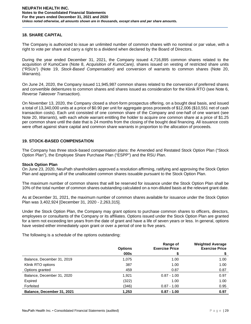# <span id="page-28-0"></span>**18. SHARE CAPITAL**

The Company is authorized to issue an unlimited number of common shares with no nominal or par value, with a right to vote per share and carry a right to a dividend when declared by the Board of Directors.

During the year ended December 31, 2021, the Company issued 4,716,895 common shares related to the acquisition of KumoCare (Note [8,](#page-21-0) *Acquisition of KumoCare),* shares issued on vesting of restricted share units ("RSUs") (Note [19,](#page-28-1) *Stock-Based Compensation)* and conversion of warrants to common shares (Note [20,](#page-30-0) *Warrants*).

On June 24, 2020, the Company issued 11,945,987 common shares related to the conversion of preferred shares and convertible debentures to common shares and shares issued as consideration for the Klinik RTO (see Note [6,](#page-19-0) *Reverse Takeover Transaction*).

On November 13, 2020, the Company closed a short-form prospectus offering, on a bought deal basis, and issued a total of 13,340,000 units at a price of \$0.90 per unit for aggregate gross proceeds of \$12,006 (\$10,551 net of cash transaction costs). Each unit consisted of one common share of the Company and one-half of one warrant (see Note [20,](#page-30-0) *Warrants*), with each whole warrant entitling the holder to acquire one common share at a price of \$1.25 per common share until the date that is 24 months from the closing of the bought deal financing. All issuance costs were offset against share capital and common share warrants in proportion to the allocation of proceeds.

# <span id="page-28-1"></span>**19. STOCK-BASED COMPENSATION**

The Company has three stock-based compensation plans: the Amended and Restated Stock Option Plan ("Stock Option Plan"), the Employee Share Purchase Plan ("ESPP") and the RSU Plan.

# **Stock Option Plan**

On June 23, 2020, NeuPath shareholders approved a resolution affirming, ratifying and approving the Stock Option Plan and approving all of the unallocated common shares issuable pursuant to the Stock Option Plan.

The maximum number of common shares that will be reserved for issuance under the Stock Option Plan shall be 10% of the total number of common shares outstanding calculated on a non-diluted basis at the relevant grant date.

As at December 31, 2021, the maximum number of common shares available for issuance under the Stock Option Plan was 3,402,924 [December 31, 2020 - 2,263,315].

Under the Stock Option Plan, the Company may grant options to purchase common shares to officers, directors, employees or consultants of the Company or its affiliates. Options issued under the Stock Option Plan are granted for a term not exceeding ten years from the date of grant and have a life of seven years or less. In general, options have vested either immediately upon grant or over a period of one to five years.

The following is a schedule of the options outstanding:

|                            | <b>Options</b> | Range of<br><b>Exercise Price</b> | <b>Weighted Average</b><br><b>Exercise Price</b> |
|----------------------------|----------------|-----------------------------------|--------------------------------------------------|
|                            | 000s           |                                   |                                                  |
| Balance, December 31, 2019 | 1,075          | 1.00                              | 1.00                                             |
| Klinik RTO options         | 387            | 1.00                              | 1.00                                             |
| Options granted            | 459            | 0.87                              | 0.87                                             |
| Balance, December 31, 2020 | 1,921          | $0.87 - 1.00$                     | 0.97                                             |
| Expired                    | (322)          | 1.00                              | 1.00                                             |
| Forfeited                  | (346)          | $0.87 - 1.00$                     | 0.95                                             |
| Balance, December 31, 2021 | 1,253          | $0.87 - 1.00$                     | 0.97                                             |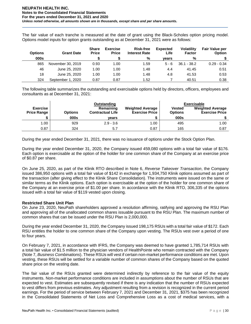The fair value of each tranche is measured at the date of grant using the Black-Scholes option pricing model. Options model inputs for option grants outstanding as at December 31, 2021 were as follows:

| <b>Options</b> | <b>Grant Date</b> | <b>Share</b><br><b>Price</b> | <b>Exercise</b><br><b>Price</b> | <b>Risk-free</b><br><b>Interest Rate</b> | <b>Expected</b><br>Life | <b>Volatility</b><br>Factor | Fair Value per<br><b>Option</b> |
|----------------|-------------------|------------------------------|---------------------------------|------------------------------------------|-------------------------|-----------------------------|---------------------------------|
| 000s           |                   |                              |                                 | %                                        | vears                   | %                           |                                 |
| 865            | November 30, 2019 | 0.93                         | 1.00                            | 1.59                                     | $5 - 6$                 | $36.1 - 38.2$               | $0.29 - 0.34$                   |
| 46             | June 25, 2020     | 1.00                         | 1.00                            | 1.48                                     | 4.4                     | 41.45                       | 0.51                            |
| 18             | June 25, 2020     | 1.00                         | 1.00                            | 1.48                                     | 4.8                     | 41.53                       | 0.53                            |
| 324            | September 1, 2020 | 0.87                         | 0.87                            | 1.52                                     |                         | 40.51                       | 0.38                            |

The following table summarizes the outstanding and exercisable options held by directors, officers, employees and consultants as at December 31, 2021:

|                                       |                | <b>Outstanding</b>                   |                                                  |                                 | <b>Exercisable</b>                               |
|---------------------------------------|----------------|--------------------------------------|--------------------------------------------------|---------------------------------|--------------------------------------------------|
| <b>Exercise</b><br><b>Price Range</b> | <b>Options</b> | Remaining<br><b>Contractual Life</b> | <b>Weighted Average</b><br><b>Exercise Price</b> | <b>Vested</b><br><b>Options</b> | <b>Weighted Average</b><br><b>Exercise Price</b> |
|                                       | 000s           | vears                                |                                                  | 000s                            |                                                  |
| 1.00                                  | 929            | $2.9 - 3.6$                          | 1.00                                             | 495                             | 1.00                                             |
| 0.87                                  | 324            | 5.7                                  | 0.87                                             | 165                             | 0.87                                             |

During the year ended December 31, 2021, there was no issuance of options under the Stock Option Plan.

During the year ended December 31, 2020, the Company issued 459,080 options with a total fair value of \$176. Each option is exercisable at the option of the holder for one common share of the Company at an exercise price of \$0.87 per share.

On June 25, 2020, as part of the Klinik RTO described in Note 6, *Reverse Takeover Transaction*, the Company issued 386,950 options with a total fair value of \$142 in exchange for 1,934,750 Klinik options assumed as part of the transaction (after giving effect to the Klinik Share Consolidation). The instruments were issued on the same or similar terms as the Klinik options. Each option is exercisable at the option of the holder for one common share of the Company at an exercise price of \$1.00 per share. In accordance with the Klinik RTO, 306,335 of the options issued with a total fair value of \$119 vested upon closing.

# **Restricted Share Unit Plan**

On June 23, 2020, NeuPath shareholders approved a resolution affirming, ratifying and approving the RSU Plan and approving all of the unallocated common shares issuable pursuant to the RSU Plan. The maximum number of common shares that can be issued under the RSU Plan is 2,000,000.

During the year ended December 31, 2020, the Company issued 198,175 RSUs with a total fair value of \$172. Each RSU entitles the holder to one common share of the Company upon vesting. The RSUs vest over a period of one to four years.

On February 7, 2021, in accordance with IFRS, the Company was deemed to have granted 1,785,714 RSUs with a total fair value of \$1.5 million to the physician vendors of HealthPointe who remain contracted with the Company (Not[e 7,](#page-20-0) *Business Combinations*). These RSUs will vest if certain non-market performance conditions are met. Upon vesting, these RSUs will be settled for a variable number of common shares of the Company based on the quoted share price on the vesting date.

The fair value of the RSUs granted were determined indirectly by reference to the fair value of the equity instruments. Non-market performance conditions are included in assumptions about the number of RSUs that are expected to vest. Estimates are subsequently revised if there is any indication that the number of RSUs expected to vest differs from previous estimates. Any adjustment resulting from a revision is recognized in the current period earnings. For the period of service between February 7, 2021 and December 31, 2021, \$375 has been recognized in the Consolidated Statements of Net Loss and Comprehensive Loss as a cost of medical services, with a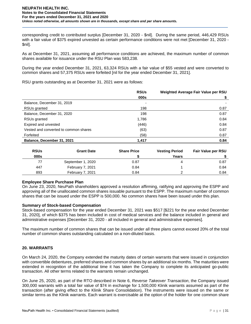corresponding credit to contributed surplus [December 31, 2020 - \$nil]. During the same period, 446,429 RSUs with a fair value of \$375 expired unvested as certain performance conditions were not met [December 31, 2020 - \$nil].

As at December 31, 2021, assuming all performance conditions are achieved, the maximum number of common shares available for issuance under the RSU Plan was 583,238.

During the year ended December 31, 2021, 63,324 RSUs with a fair value of \$55 vested and were converted to common shares and 57,375 RSUs were forfeited [nil for the year ended December 31, 2021].

RSU grants outstanding as at December 31, 2021 were as follows:

|                                       | <b>RSUs</b> | Weighted Average Fair Value per RSU |
|---------------------------------------|-------------|-------------------------------------|
|                                       | 000s        |                                     |
| Balance, December 31, 2019            |             |                                     |
| RSUs granted                          | 198         | 0.87                                |
| Balance, December 31, 2020            | 198         | 0.87                                |
| RSUs granted                          | 1,786       | 0.84                                |
| Expired and unvested                  | (446)       | 0.84                                |
| Vested and converted to common shares | (63)        | 0.87                                |
| Forfeited                             | (58)        | 0.87                                |
| Balance, December 31, 2021            | 1,417       | 0.84                                |

| <b>RSUs</b> | <b>Grant Date</b> | <b>Share Price</b> | <b>Vesting Period</b> | <b>Fair Value per RSU</b> |
|-------------|-------------------|--------------------|-----------------------|---------------------------|
| 000s        |                   |                    | Years                 |                           |
| 77          | September 1, 2020 | 0.87               | 4                     | 0.87                      |
| 447         | February 7, 2021  | 0.84               |                       | 0.84                      |
| 893         | February 7, 2021  | 0.84               |                       | 0.84                      |

# **Employee Share Purchase Plan**

On June 23, 2020, NeuPath shareholders approved a resolution affirming, ratifying and approving the ESPP and approving all of the unallocated common shares issuable pursuant to the ESPP. The maximum number of common shares that can be issued under the ESPP is 500,000. No common shares have been issued under this plan.

# **Summary of Stock-based Compensation**

Stock-based compensation for the year ended December 31, 2021 was \$517 [\$221 for the year ended December 31, 2020], of which \$375 has been included in cost of medical services and the balance included in general and administrative expenses [December 31, 2020 - all included in general and administrative expenses].

The maximum number of common shares that can be issued under all three plans cannot exceed 20% of the total number of common shares outstanding calculated on a non-diluted basis.

# <span id="page-30-0"></span>**20. WARRANTS**

On March 24, 2020, the Company extended the maturity dates of certain warrants that were issued in conjunction with convertible debentures, preferred shares and common shares by an additional six months. The maturities were extended in recognition of the additional time it has taken the Company to complete its anticipated go-public transaction. All other terms related to the warrants remain unchanged.

On June 25, 2020, as part of the RTO described in Note [6,](#page-19-0) *Reverse Takeover Transaction*, the Company issued 300,000 warrants with a total fair value of \$74 in exchange for 1,500,000 Klinik warrants assumed as part of the transaction (after giving effect to the Klinik Share Consolidation). The instruments were issued on the same or similar terms as the Klinik warrants. Each warrant is exercisable at the option of the holder for one common share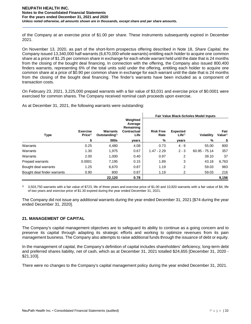of the Company at an exercise price of \$1.00 per share. These instruments subsequently expired in December 2021.

On November 13, 2020, as part of the short-form prospectus offering described in Note [18,](#page-28-0) *Share Capital*, the Company issued 13,340,000 half warrants (6,670,000 whole warrants) entitling each holder to acquire one common share at a price of \$1.25 per common share in exchange for each whole warrant held until the date that is 24 months from the closing of the bought deal financing. In connection with the offering, the Company also issued 800,400 finders warrants, representing 6% of the total units sold under the offering, entitling each holder to acquire one common share at a price of \$0.90 per common share in exchange for each warrant until the date that is 24 months from the closing of the bought deal financing. The finder's warrants have been included as a component of transaction costs.

On February 23, 2021, 3,225,000 prepaid warrants with a fair value of \$3,031 and exercise price of \$0.0001 were exercised for common shares. The Company received nominal cash proceeds upon exercise.

As at December 31, 2021, the following warrants were outstanding:

|                             |                                         |                                      |                                                         | <b>Fair Value Black-Scholes Model Inputs</b> |                                 |                   |                              |  |
|-----------------------------|-----------------------------------------|--------------------------------------|---------------------------------------------------------|----------------------------------------------|---------------------------------|-------------------|------------------------------|--|
| <b>Type</b>                 | <b>Exercise</b><br>Price <sup>(i)</sup> | <b>Warrants</b><br>Outstanding $(i)$ | Weighted<br>Average<br>Remaining<br>Contractual<br>Life | <b>Risk Free</b><br>Rate                     | <b>Expected</b><br>$Life^{(i)}$ | <b>Volatility</b> | Fair<br>Value <sup>(i)</sup> |  |
|                             | \$                                      | 000s                                 | vears                                                   | %                                            | vears                           | %                 | \$                           |  |
| Warrants                    | 0.25                                    | 4,480                                | 4.08                                                    | 0.73                                         | $4 - 9$                         | 55.00             | 800                          |  |
| Warrants                    | 1.30                                    | 1,975                                | 0.67                                                    | $1.47 - 2.29$                                | $2 - 3$                         | $60.95 - 75.14$   | 357                          |  |
| Warrants                    | 2.00                                    | 1,000                                | 0.40                                                    | 0.97                                         | 2                               | 39.10             | 37                           |  |
| Prepaid warrants            | 0.0001                                  | 7,195                                | 0.15                                                    | 1.89                                         | 3                               | 43.18             | 6,763                        |  |
| Bought deal warrants        | 1.25                                    | 6,670                                | 0.87                                                    | 1.19                                         | 2                               | 59.03             | 983                          |  |
| Bought deal finder warrants | 0.90                                    | 800                                  | 0.87                                                    | 1.19                                         | 2                               | 59.03             | 216                          |  |
|                             |                                         | 22,120                               | 0.78                                                    |                                              |                                 |                   | 9,156                        |  |

 $^{(i)}$  3,503,750 warrants with a fair value of \$723, life of three years and exercise price of \$1.00 and 10,820 warrants with a fair value of \$4, life of two years and exercise price of \$1.30 expired during the year ended December 31, 2021.

The Company did not issue any additional warrants during the year ended December 31, 2021 [\$74 during the year ended December 31, 2020].

# **21. MANAGEMENT OF CAPITAL**

The Company's capital management objectives are to safeguard its ability to continue as a going concern and to preserve its capital through adapting its strategic efforts and working to optimize revenues from its pain management business. The Company also attempts to raise additional funds through the issuance of debt or equity.

In the management of capital, the Company's definition of capital includes shareholders' deficiency, long-term debt and preferred shares liability, net of cash, which as at December 31, 2021 totalled \$24,655 [December 31, 2020 - \$21,103].

There were no changes to the Company's capital management policy during the year ended December 31, 2021.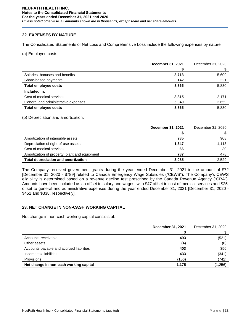# <span id="page-32-0"></span>**22. EXPENSES BY NATURE**

The Consolidated Statements of Net Loss and Comprehensive Loss include the following expenses by nature:

(a) Employee costs:

|                                     | December 31, 2021 | December 31, 2020 |
|-------------------------------------|-------------------|-------------------|
|                                     |                   |                   |
| Salaries, bonuses and benefits      | 8,713             | 5,609             |
| Share-based payments                | 142               | 221               |
| Total employee costs                | 8,855             | 5,830             |
| Included in:                        |                   |                   |
| Cost of medical services            | 3,815             | 2,171             |
| General and administrative expenses | 5,040             | 3,659             |
| <b>Total employee costs</b>         | 8,855             | 5,830             |

# (b) Depreciation and amortization:

|                                               | December 31, 2021 | December 31, 2020 |
|-----------------------------------------------|-------------------|-------------------|
|                                               |                   |                   |
| Amortization of intangible assets             | 935               | 908               |
| Depreciation of right-of-use assets           | 1,347             | 1.113             |
| Cost of medical services                      | 66                | 30                |
| Amortization of property, plant and equipment | 737               | 478               |
| <b>Total depreciation and amortization</b>    | 3.085             | 2.529             |

The Company received government grants during the year ended December 31, 2021 in the amount of \$72 [December 31, 2020 - \$789] related to Canada Emergency Wage Subsidies ("CEWS"). The Company's CEWS eligibility is determined based on a revenue decline test prescribed by the Canada Revenue Agency ("CRA"). Amounts have been included as an offset to salary and wages, with \$47 offset to cost of medical services and \$25, offset to general and administrative expenses during the year ended December 31, 2021 [December 31, 2020 - \$451 and \$338, respectively].

# <span id="page-32-1"></span>**23. NET CHANGE IN NON-CASH WORKING CAPITAL**

Net change in non-cash working capital consists of:

|                                          | December 31, 2021 | December 31, 2020 |
|------------------------------------------|-------------------|-------------------|
|                                          |                   |                   |
| Accounts receivable                      | 493               | (521)             |
| Other assets                             | (4)               | (8)               |
| Accounts payable and accrued liabilities | 403               | 356               |
| Income tax liabilities                   | 433               | (341)             |
| Provisions                               | (150)             | (742)             |
| Net change in non-cash working capital   | 1.175             | (1,256)           |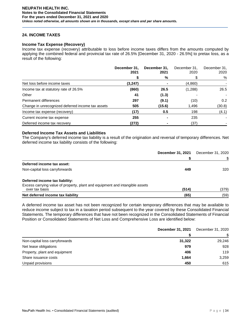# <span id="page-33-0"></span>**24. INCOME TAXES**

# **Income Tax Expense (Recovery)**

Income tax expense (recovery) attributable to loss before income taxes differs from the amounts computed by applying the combined federal and provincial tax rate of 26.5% [December 31, 2020 - 26.5%] to pretax loss, as a result of the following:

|                                                   | December 31.<br>2021 | December 31.<br>2021 | December 31.<br>2020 | December 31,<br>2020 |
|---------------------------------------------------|----------------------|----------------------|----------------------|----------------------|
|                                                   |                      | %                    |                      | %                    |
| Net loss before income taxes                      | (3,247)              |                      | (4,860)              |                      |
| Income tax at statutory rate of 26.5%             | (860)                | 26.5                 | (1,288)              | 26.5                 |
| Other                                             | 41                   | (1.3)                |                      |                      |
| Permanent differences                             | 297                  | (9.1)                | (10)                 | 0.2                  |
| Change in unrecognized deferred income tax assets | 505                  | (15.6)               | 1,496                | (30.8)               |
| Income tax expense (recovery)                     | (17)                 | 0.5                  | 198                  | (4.1)                |
| Current income tax expense                        | 255                  |                      | 235                  |                      |
| Deferred income tax recovery                      | (272)                |                      | (37)                 |                      |

# **Deferred Income Tax Assets and Liabilities**

The Company's deferred income tax liability is a result of the origination and reversal of temporary differences. Net deferred income tax liability consists of the following:

|                                                                              | December 31, 2021 | December 31, 2020 |
|------------------------------------------------------------------------------|-------------------|-------------------|
|                                                                              |                   |                   |
| Deferred income tax asset:                                                   |                   |                   |
| Non-capital loss carryforwards                                               | 449               | 320               |
| Deferred income tax liability:                                               |                   |                   |
| Excess carrying value of property, plant and equipment and intangible assets |                   |                   |
| over tax basis                                                               | (514)             | (379)             |
| Net deferred income tax liability                                            | (65)              | (59)              |

A deferred income tax asset has not been recognized for certain temporary differences that may be available to reduce income subject to tax in a taxation period subsequent to the year covered by these Consolidated Financial Statements. The temporary differences that have not been recognized in the Consolidated Statements of Financial Position or Consolidated Statements of Net Loss and Comprehensive Loss are identified below:

|                                | December 31, 2021 | December 31, 2020 |
|--------------------------------|-------------------|-------------------|
|                                |                   |                   |
| Non-capital loss carryforwards | 31,322            | 29,246            |
| Net lease obligations          | 979               | 928               |
| Property, plant and equipment  | 406               | 119               |
| Share issuance costs           | 1,664             | 3,259             |
| Unpaid provisions              | 450               | 615               |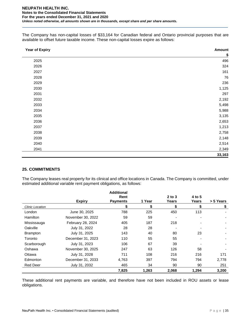The Company has non-capital losses of \$33,164 for Canadian federal and Ontario provincial purposes that are available to offset future taxable income. These non-capital losses expire as follows:

| <b>Year of Expiry</b> | <b>Amount</b> |
|-----------------------|---------------|
|                       | $\frac{1}{2}$ |
| 2025                  | 496           |
| 2026                  | 324           |
| 2027                  | 161           |
| 2028                  | 76            |
| 2029                  | 236           |
| 2030                  | 1,125         |
| 2031                  | 297           |
| 2032                  | 2,192         |
| 2033                  | 5,498         |
| 2034                  | 5,988         |
| 2035                  | 3,135         |
| 2036                  | 2,653         |
| 2037                  | 1,213         |
| 2038                  | 2,758         |
| 2039                  | 2,148         |
| 2040                  | 2,514         |
| 2041                  | 2,349         |
|                       | 33,163        |

# <span id="page-34-0"></span>**25. COMMITMENTS**

The Company leases real property for its clinical and office locations in Canada. The Company is committed, under estimated additional variable rent payment obligations, as follows:

|                 |                   | <b>Additional</b>       |        |                     |                 |           |
|-----------------|-------------------|-------------------------|--------|---------------------|-----------------|-----------|
|                 | <b>Expiry</b>     | Rent<br><b>Payments</b> | 1 Year | $2$ to $3$<br>Years | 4 to 5<br>Years | > 5 Years |
| Clinic Location |                   | S                       | \$     | \$                  | \$              | \$        |
| London          | June 30, 2025     | 788                     | 225    | 450                 | 113             |           |
| <b>Hamilton</b> | November 30, 2022 | 59                      | 59     |                     |                 |           |
| Mississauga     | February 28, 2024 | 405                     | 187    | 218                 |                 |           |
| Oakville        | July 31, 2022     | 28                      | 28     |                     |                 |           |
| <b>Brampton</b> | July 31, 2025     | 143                     | 40     | 80                  | 23              |           |
| Toronto         | December 31, 2023 | 110                     | 55     | 55                  |                 |           |
| Scarborough     | July 31, 2023     | 106                     | 67     | 39                  |                 |           |
| Oshawa          | November 30, 2025 | 247                     | 63     | 126                 | 58              |           |
| Ottawa          | July 31, 2028     | 711                     | 108    | 216                 | 216             | 171       |
| Edmonton        | December 31, 2033 | 4,763                   | 397    | 794                 | 794             | 2,778     |
| <b>Red Deer</b> | July 31, 2032     | 465                     | 34     | 90                  | 90              | 251       |
|                 |                   | 7,825                   | 1,263  | 2,068               | 1,294           | 3,200     |

These additional rent payments are variable, and therefore have not been included in ROU assets or lease obligations.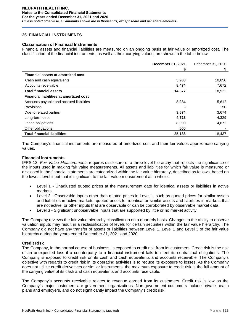# **26. FINANCIAL INSTRUMENTS**

# **Classification of Financial Instruments**

Financial assets and financial liabilities are measured on an ongoing basis at fair value or amortized cost. The classification of the financial instruments, as well as their carrying values, are shown in the table below:

|                                                | December 31, 2021 | December 31, 2020 |
|------------------------------------------------|-------------------|-------------------|
|                                                | S                 | \$                |
| Financial assets at amortized cost             |                   |                   |
| Cash and cash equivalents                      | 5,903             | 10,850            |
| Accounts receivable                            | 8,474             | 7,672             |
| <b>Total financial assets</b>                  | 14,377            | 18,522            |
| <b>Financial liabilities at amortized cost</b> |                   |                   |
| Accounts payable and accrued liabilities       | 8,284             | 5,612             |
| <b>Provisions</b>                              |                   | 150               |
| Due to related parties                         | 3,674             | 3,674             |
| Long-term debt                                 | 4,728             | 4,329             |
| Lease obligations                              | 8,000             | 4,672             |
| Other obligations                              | 500               |                   |
| <b>Total financial liabilities</b>             | 25,186            | 18,437            |

The Company's financial instruments are measured at amortized cost and their fair values approximate carrying values.

## **Financial Instruments**

IFRS 13, *Fair Value Measurements* requires disclosure of a three-level hierarchy that reflects the significance of the inputs used in making fair value measurements. All assets and liabilities for which fair value is measured or disclosed in the financial statements are categorized within the fair value hierarchy, described as follows, based on the lowest level input that is significant to the fair value measurement as a whole:

- Level 1 Unadjusted quoted prices at the measurement date for identical assets or liabilities in active markets.
- Level 2 Observable inputs other than quoted prices in Level 1, such as quoted prices for similar assets and liabilities in active markets; quoted prices for identical or similar assets and liabilities in markets that are not active; or other inputs that are observable or can be corroborated by observable market data.
- Level 3 Significant unobservable inputs that are supported by little or no market activity.

The Company reviews the fair value hierarchy classification on a quarterly basis. Changes to the ability to observe valuation inputs may result in a reclassification of levels for certain securities within the fair value hierarchy. The Company did not have any transfer of assets or liabilities between Level 1, Level 2 and Level 3 of the fair value hierarchy during the years ended December 31, 2021 and 2020.

# **Credit Risk**

The Company, in the normal course of business, is exposed to credit risk from its customers. Credit risk is the risk of an unexpected loss if a counterparty to a financial instrument fails to meet its contractual obligations. The Company is exposed to credit risk on its cash and cash equivalents and accounts receivable. The Company's objective with regards to credit risk in its operating activities is to reduce its exposure to losses. As the Company does not utilize credit derivatives or similar instruments, the maximum exposure to credit risk is the full amount of the carrying value of its cash and cash equivalents and accounts receivable.

The Company's accounts receivable relates to revenue earned from its customers. Credit risk is low as the Company's major customers are government organizations. Non-government customers include private health plans and employers, and do not significantly impact the Company's credit risk.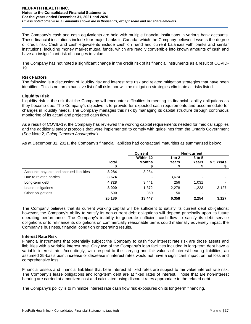The Company's cash and cash equivalents are held with multiple financial institutions in various bank accounts. These financial institutions include four major banks in Canada, which the Company believes lessens the degree of credit risk. Cash and cash equivalents include cash on hand and current balances with banks and similar institutions, including money market mutual funds, which are readily convertible into known amounts of cash and have an insignificant risk of changes in value.

The Company has not noted a significant change in the credit risk of its financial instruments as a result of COVID-19.

## **Risk Factors**

The following is a discussion of liquidity risk and interest rate risk and related mitigation strategies that have been identified. This is not an exhaustive list of all risks nor will the mitigation strategies eliminate all risks listed.

## **Liquidity Risk**

Liquidity risk is the risk that the Company will encounter difficulties in meeting its financial liability obligations as they become due. The Company's objective is to provide for expected cash requirements and accommodate for changes in liquidity needs. The Company manages this risk by managing its capital structure through continuous monitoring of its actual and projected cash flows.

As a result of COVID-19, the Company has reviewed the working capital requirements needed for medical supplies and the additional safety protocols that were implemented to comply with guidelines from the Ontario Government (See Note [2,](#page-8-0) *Going Concern Assumption*).

As at December 31, 2021, the Company's financial liabilities had contractual maturities as summarized below:

|                                          |              | <b>Current</b>      |                   | Non-current         |           |
|------------------------------------------|--------------|---------------------|-------------------|---------------------|-----------|
|                                          | <b>Total</b> | Within 12<br>Months | 1 to $2$<br>Years | $3$ to $5$<br>Years | > 5 Years |
| Accounts payable and accrued liabilities | 8,284        | 8,284               |                   |                     |           |
| Due to related parties                   | 3,674        |                     | 3,674             |                     |           |
| Long-term debt                           | 4,728        | 3,441               | 256               | 1,031               |           |
| Lease obligations                        | 8,000        | 1,372               | 2,278             | 1,223               | 3,127     |
| Other obligations                        | 500          | 350                 | 150               |                     |           |
|                                          | 25,186       | 13,447              | 6,358             | 2.254               | 3,127     |

The Company believes that its current working capital will be sufficient to satisfy its current debt obligations; however, the Company's ability to satisfy its non-current debt obligations will depend principally upon its future operating performance. The Company's inability to generate sufficient cash flow to satisfy its debt service obligations or to refinance its obligations on commercially reasonable terms could materially adversely impact the Company's business, financial condition or operating results.

# **Interest Rate Risk**

Financial instruments that potentially subject the Company to cash flow interest rate risk are those assets and liabilities with a variable interest rate. Only two of the Company's loan facilities included in long-term debt have a variable interest rate. Accordingly, with respect to the carrying and fair values of interest-bearing liabilities, an assumed 25-basis point increase or decrease in interest rates would not have a significant impact on net loss and comprehensive loss.

Financial assets and financial liabilities that bear interest at fixed rates are subject to fair value interest rate risk. The Company's lease obligations and long-term debt are at fixed rates of interest. Those that are non-interest bearing are carried at amortized cost and calculated using discount rates appropriate to the related debt.

The Company's policy is to minimize interest rate cash flow risk exposures on its long-term financing.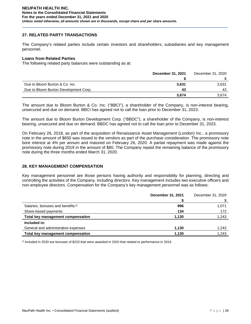# <span id="page-37-0"></span>**27. RELATED PARTY TRANSACTIONS**

The Company's related parties include certain investors and shareholders, subsidiaries and key management personnel.

## **Loans from Related Parties**

The following related party balances were outstanding as at:

|                                       | <b>December 31, 2021</b> | December 31, 2020 |
|---------------------------------------|--------------------------|-------------------|
|                                       |                          |                   |
| Due to Bloom Burton & Co. Inc.        | 3,631                    | 3,631             |
| Due to Bloom Burton Development Corp. | 43                       | 43                |
|                                       | 3.674                    | 3.674             |

The amount due to Bloom Burton & Co. Inc. ("BBCI"), a shareholder of the Company, is non-interest bearing, unsecured and due on demand. BBCI has agreed not to call the loan prior to December 31, 2023.

The amount due to Bloom Burton Development Corp. ("BBDC"), a shareholder of the Company, is non-interest bearing, unsecured and due on demand. BBDC has agreed not to call the loan prior to December 31, 2023.

On February 26, 2018, as part of the acquisition of Renaissance Asset Management (London) Inc., a promissory note in the amount of \$650 was issued to the vendors as part of the purchase consideration. The promissory note bore interest at 4% per annum and matured on February 26, 2020. A partial repayment was made against the promissory note during 2019 in the amount of \$80. The Company repaid the remaining balance of the promissory note during the three months ended March 31, 2020.

# **28. KEY MANAGEMENT COMPENSATION**

Key management personnel are those persons having authority and responsibility for planning, directing and controlling the activities of the Company, including directors. Key management includes two executive officers and non-employee directors. Compensation for the Company's key management personnel was as follows:

|                                     | December 31, 2021 | December 31, 2020 |
|-------------------------------------|-------------------|-------------------|
|                                     |                   |                   |
| Salaries, bonuses and benefits (i)  | 996               | 1,071             |
| Share-based payments                | 134               | 172               |
| Total key management compensation   | 1,130             | 1,243             |
| Included in:                        |                   |                   |
| General and administrative expenses | 1,130             | 1,243             |
| Total key management compensation   | 1,130             | 1,243             |

 $\overset{\scriptscriptstyle(i)}{\phantom{}_{}}$  Included in 2020 are bonuses of \$233 that were awarded in 2020 that related to performance in 2019.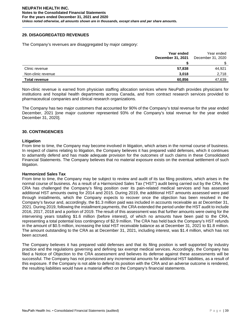# <span id="page-38-0"></span>**29. DISAGGREGATED REVENUES**

The Company's revenues are disaggregated by major category:

|                      | Year ended<br><b>December 31, 2021</b> | Year ended<br>December 31, 2020 |
|----------------------|----------------------------------------|---------------------------------|
|                      |                                        |                                 |
| Clinic revenue       | 57,838                                 | 44,921                          |
| Non-clinic revenue   | 3,018                                  | 2,718                           |
| <b>Total revenue</b> | 60,856                                 | 47,639                          |

Non-clinic revenue is earned from physician staffing allocation services where NeuPath provides physicians for institutions and hospital health departments across Canada, and from contract research services provided to pharmaceutical companies and clinical research organizations.

The Company has two major customers that accounted for 90% of the Company's total revenue for the year ended December, 2021 [one major customer represented 93% of the Company's total revenue for the year ended December 31, 2020].

## <span id="page-38-1"></span>**30. CONTINGENCIES**

### **Litigation**

From time to time, the Company may become involved in litigation, which arises in the normal course of business. In respect of claims relating to litigation, the Company believes it has prepared valid defenses, which it continues to adamantly defend and has made adequate provision for the outcomes of such claims in these Consolidated Financial Statements. The Company believes that no material exposure exists on the eventual settlement of such litigation.

### **Harmonized Sales Tax**

From time to time, the Company may be subject to review and audit of its tax filing positions, which arises in the normal course of business. As a result of a Harmonized Sales Tax ("HST") audit being carried out by the CRA, the CRA has challenged the Company's filing position over its pain-related medical services and has assessed additional HST amounts owing for 2014 and 2015. During 2019, the additional HST amounts assessed were paid through installments, which the Company expects to recover once the objection has been resolved in the Company's favour and, accordingly, the \$1.3 million paid was included in accounts receivable as at December 31, 2021. During 2019, following the installment payments, the CRA extended the period under the HST audit to include 2016, 2017, 2018 and a portion of 2019. The result of this assessment was that further amounts were owing for the intervening years totalling \$1.6 million (before interest), of which no amounts have been paid to the CRA, representing a total potential loss contingency of \$2.9 million. The CRA has held back the Company's HST refunds in the amount of \$0.5 million, increasing the total HST receivable balance as at December 31, 2021 to \$1.8 million. The amount outstanding to the CRA as at December 31, 2021, including interest, was \$1.4 million, which has not been accrued.

The Company believes it has prepared valid defenses and that its filing position is well supported by industry practice and the regulations governing and defining tax exempt medical services. Accordingly, the Company has filed a Notice of Objection to the CRA assessment and believes its defense against these assessments will be successful. The Company has not provisioned any incremental amounts for additional HST liabilities, as a result of this exposure. If the Company is not able to defend its position with the CRA and an adverse outcome is rendered, the resulting liabilities would have a material effect on the Company's financial statements.